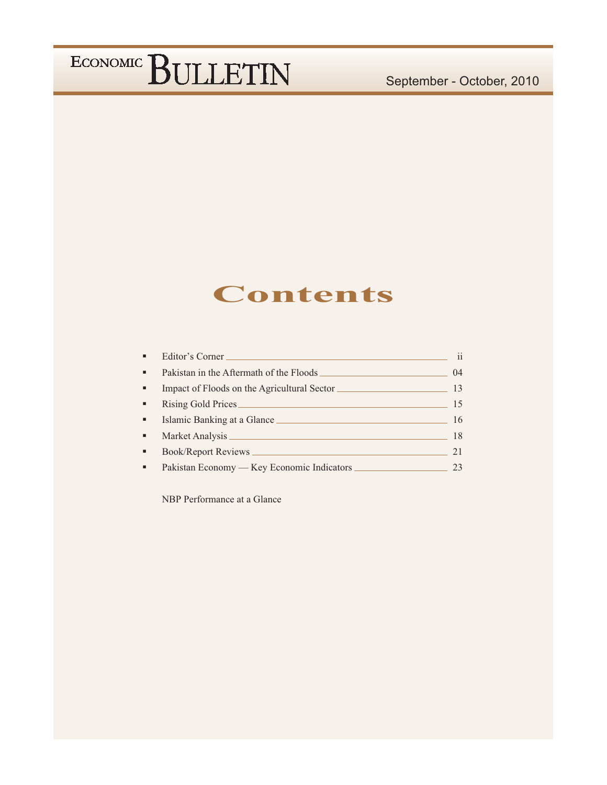### **Contents**

| ٠              | Editor's Corner                             | 11 |
|----------------|---------------------------------------------|----|
| $\blacksquare$ | Pakistan in the Aftermath of the Floods     | 04 |
| ٠              | Impact of Floods on the Agricultural Sector | 13 |
| ٠              | Rising Gold Prices                          | 15 |
| ٠              | Islamic Banking at a Glance                 | 16 |
| ٠              | Market Analysis                             | 18 |
| ٠              | Book/Report Reviews                         | 21 |
| ٠              | Pakistan Economy — Key Economic Indicators  | 23 |

NBP Performance at a Glance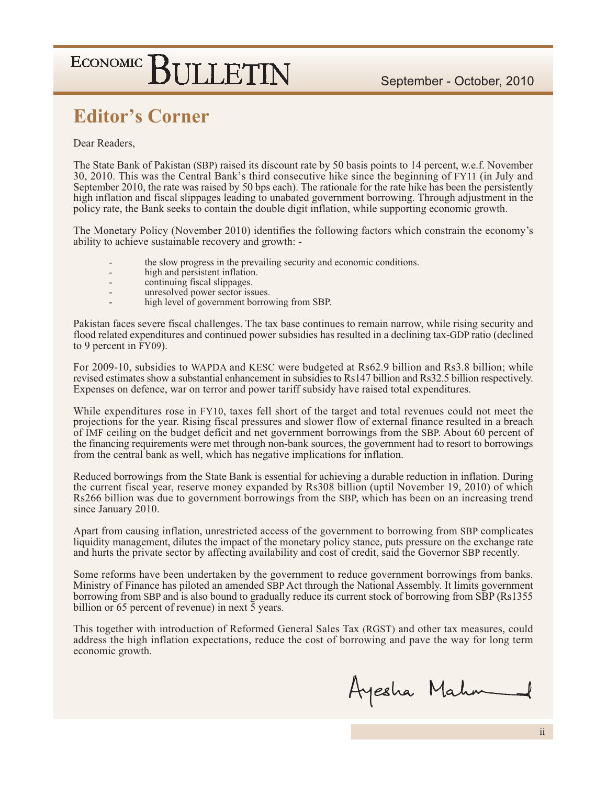### **Editor's Corner**

#### Dear Readers.

The State Bank of Pakistan (SBP) raised its discount rate by 50 basis points to 14 percent, w.e.f. November 30, 2010. This was the Central Bank's third consecutive hike since the beginning of FY11 (in July and September 2010, the rate was raised by 50 bps each). The rationale for the rate hike has been the persistently high inflation and fiscal slippages leading to unabated government borrowing. Through adjustment in the policy rate, the Bank seeks to contain the double digit inflation, while supporting economic growth.

The Monetary Policy (November 2010) identifies the following factors which constrain the economy's ability to achieve sustainable recovery and growth: -

- the slow progress in the prevailing security and economic conditions.
- high and persistent inflation.
- continuing fiscal slippages.
- unresolved power sector issues.
- high level of government borrowing from SBP.

Pakistan faces severe fiscal challenges. The tax base continues to remain narrow, while rising security and flood related expenditures and continued power subsidies has resulted in a declining tax-GDP ratio (declined to 9 percent in FY09).

For 2009-10, subsidies to WAPDA and KESC were budgeted at Rs62.9 billion and Rs3.8 billion; while revised estimates show a substantial enhancement in subsidies to Rs147 billion and Rs32.5 billion respectively. Expenses on defence, war on terror and power tariff subsidy have raised total expenditures.

While expenditures rose in FY10, taxes fell short of the target and total revenues could not meet the projections for the year. Rising fiscal pressures and slower flow of external finance resulted in a breach of IMF ceiling on the budget deficit and net government borrowings from the SBP. About 60 percent of the financing requirements were met through non-bank sources, the government had to resort to borrowings from the central bank as well, which has negative implications for inflation.

Reduced borrowings from the State Bank is essential for achieving a durable reduction in inflation. During the current fiscal year, reserve money expanded by Rs308 billion (uptil November 19, 2010) of which Rs266 billion was due to government borrowings from the SBP, which has been on an increasing trend since January 2010.

Apart from causing inflation, unrestricted access of the government to borrowing from SBP complicates liquidity management, dilutes the impact of the monetary policy stance, puts pressure on the exchange rate and hurts the private sector by affecting availability and cost of credit, said the Governor SBP recently.

Some reforms have been undertaken by the government to reduce government borrowings from banks. Ministry of Finance has piloted an amended SBP Act through the National Assembly. It limits government borrowing from SBP and is also bound to gradually reduce its current stock of borrowing from SBP (Rs1355 billion or 65 percent of revenue) in next  $\bar{5}$  years.

This together with introduction of Reformed General Sales Tax (RGST) and other tax measures, could address the high inflation expectations, reduce the cost of borrowing and pave the way for long term economic growth.

Ayesha Mahm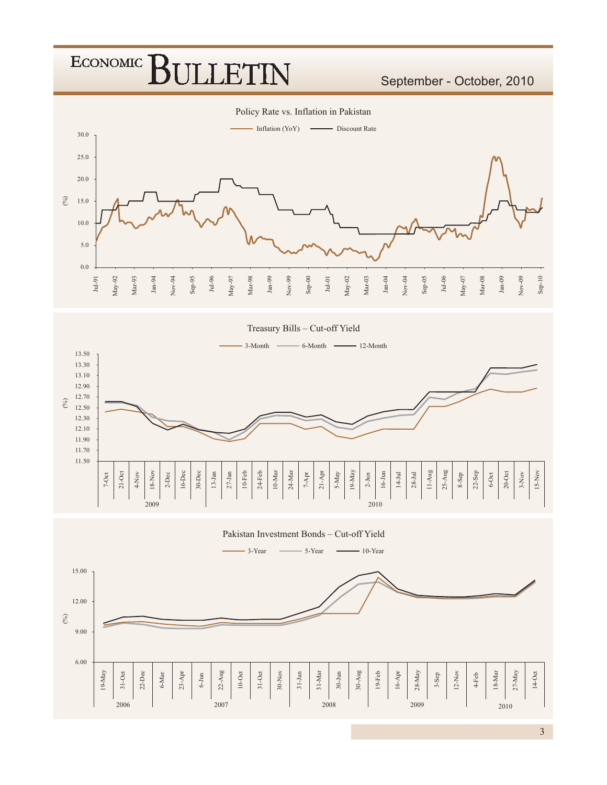September - October, 2010



Treasury Bills - Cut-off Yield  $-6$ -Month  $-12$ -Month  $-3$ -Month  $-$ 13.50 13.30 13.10 12.90 12.70  $(\%)$ 12.50 12.30 12.10 11.90 11.70 11.50  $\begin{array}{c|c}\n 13-1an \\
\hline\n \end{array}$  $11-Aug$  $21-Oct$  $10-Feb$  $24-Feb$  $19\mbox{-}\mathrm{May}$  $16-3$ un  $25 - Aug$  $\begin{tabular}{c|c} 20-Oct & \multicolumn{1}{c|}{3-Nov} \\ \hline 3-Nov & \multicolumn{1}{c|}{3-Nov} \\ \end{tabular}$  $18-Nov$  $16$ -Dec  $30 - Dec$  $27-Jan$  $10\mbox{-}\mathrm{Mar}$  $24$  Mar  $\,$  $21-A\mathrm{pr}$  $22-Sep$  $7-0ct$  $5-May$  $14\mbox{-} \mathrm{Jul}$  $28 - Jul$  $6\negthinspace\negthinspace-\negthinspace 0$ ct  $4Nov$  $_{\rm 2-Dec}$  $7 - \mathrm{Apr}$  $2\text{-}\mathrm{Jun}$ 8-Sep 2009 2010

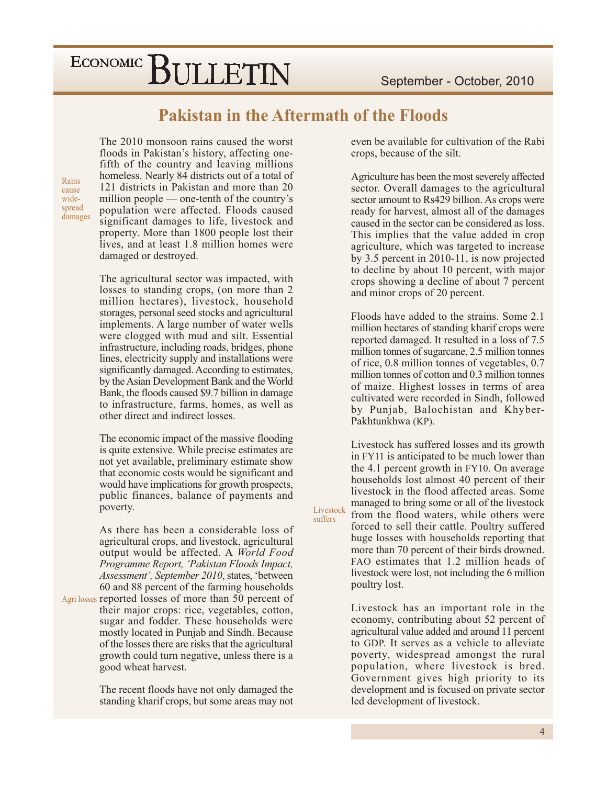#### **Pakistan in the Aftermath of the Floods**

Livestock

suffers

The 2010 monsoon rains caused the worst floods in Pakistan's history, affecting onefifth of the country and leaving millions homeless. Nearly 84 districts out of a total of 121 districts in Pakistan and more than 20 million people — one-tenth of the country's population were affected. Floods caused significant damages to life, livestock and property. More than 1800 people lost their lives, and at least 1.8 million homes were damaged or destroyed.

The agricultural sector was impacted, with losses to standing crops, (on more than 2) million hectares), livestock, household storages, personal seed stocks and agricultural implements. A large number of water wells were clogged with mud and silt. Essential infrastructure, including roads, bridges, phone lines, electricity supply and installations were significantly damaged. According to estimates, by the Asian Development Bank and the World Bank, the floods caused \$9.7 billion in damage to infrastructure, farms, homes, as well as other direct and indirect losses.

The economic impact of the massive flooding is quite extensive. While precise estimates are not yet available, preliminary estimate show that economic costs would be significant and would have implications for growth prospects, public finances, balance of payments and poverty.

As there has been a considerable loss of agricultural crops, and livestock, agricultural output would be affected. A World Food Programme Report, 'Pakistan Floods Impact, Assessment', September 2010, states, 'between 60 and 88 percent of the farming households

Agrilosses reported losses of more than 50 percent of their major crops: rice, vegetables, cotton, sugar and fodder. These households were mostly located in Punjab and Sindh. Because of the losses there are risks that the agricultural growth could turn negative, unless there is a good wheat harvest.

> The recent floods have not only damaged the standing kharif crops, but some areas may not

even be available for cultivation of the Rabi crops, because of the silt.

Agriculture has been the most severely affected sector. Overall damages to the agricultural sector amount to Rs429 billion. As crops were ready for harvest, almost all of the damages caused in the sector can be considered as loss. This implies that the value added in crop agriculture, which was targeted to increase by 3.5 percent in 2010-11, is now projected to decline by about 10 percent, with major crops showing a decline of about 7 percent and minor crops of 20 percent.

Floods have added to the strains. Some 2.1 million hectares of standing kharif crops were reported damaged. It resulted in a loss of 7.5 million tonnes of sugarcane, 2.5 million tonnes of rice, 0.8 million tonnes of vegetables, 0.7 million tonnes of cotton and 0.3 million tonnes of maize. Highest losses in terms of area cultivated were recorded in Sindh, followed by Punjab, Balochistan and Khyber-Pakhtunkhwa (KP).

Livestock has suffered losses and its growth in FY11 is anticipated to be much lower than the 4.1 percent growth in FY10. On average households lost almost 40 percent of their livestock in the flood affected areas. Some managed to bring some or all of the livestock from the flood waters, while others were forced to sell their cattle. Poultry suffered huge losses with households reporting that more than 70 percent of their birds drowned. FAO estimates that 1.2 million heads of livestock were lost, not including the 6 million poultry lost.

Livestock has an important role in the economy, contributing about 52 percent of agricultural value added and around 11 percent to GDP. It serves as a vehicle to alleviate poverty, widespread amongst the rural population, where livestock is bred. Government gives high priority to its development and is focused on private sector led development of livestock.

Rains cause widespread damages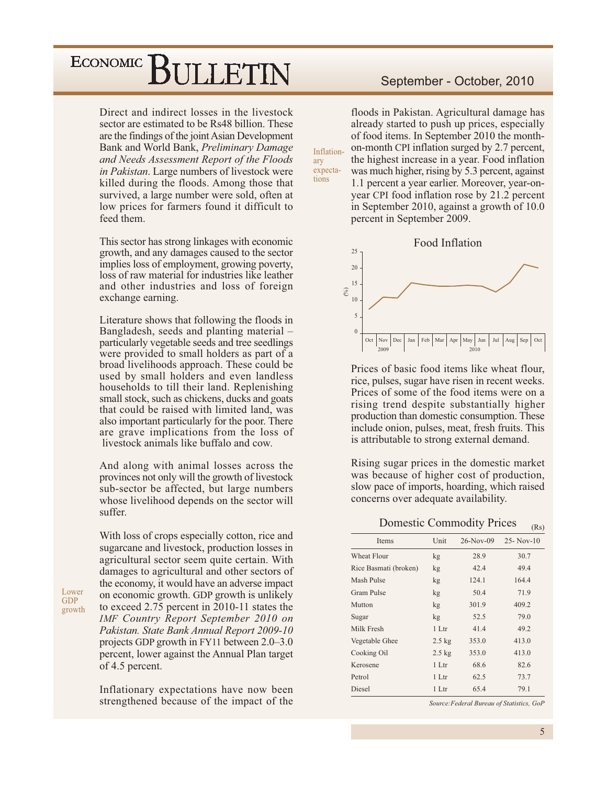Direct and indirect losses in the livestock sector are estimated to be Rs48 billion. These are the findings of the joint Asian Development Bank and World Bank, Preliminary Damage and Needs Assessment Report of the Floods in Pakistan. Large numbers of livestock were killed during the floods. Among those that survived, a large number were sold, often at low prices for farmers found it difficult to feed them.

This sector has strong linkages with economic growth, and any damages caused to the sector implies loss of employment, growing poverty, loss of raw material for industries like leather and other industries and loss of foreign exchange earning.

Literature shows that following the floods in Bangladesh, seeds and planting material – particularly vegetable seeds and tree seedlings were provided to small holders as part of a broad livelihoods approach. These could be used by small holders and even landless households to till their land. Replenishing small stock, such as chickens, ducks and goats that could be raised with limited land, was also important particularly for the poor. There are grave implications from the loss of livestock animals like buffalo and cow.

And along with animal losses across the provinces not only will the growth of livestock sub-sector be affected, but large numbers whose livelihood depends on the sector will suffer.

With loss of crops especially cotton, rice and sugarcane and livestock, production losses in agricultural sector seem quite certain. With damages to agricultural and other sectors of the economy, it would have an adverse impact on economic growth. GDP growth is unlikely to exceed 2.75 percent in 2010-11 states the IMF Country Report September 2010 on Pakistan. State Bank Annual Report 2009-10 projects GDP growth in FY11 between 2.0–3.0 percent, lower against the Annual Plan target of 4.5 percent.

Inflationary expectations have now been strengthened because of the impact of the

#### September - October, 2010

floods in Pakistan. Agricultural damage has already started to push up prices, especially of food items. In September 2010 the monthon-month CPI inflation surged by 2.7 percent, the highest increase in a year. Food inflation was much higher, rising by 5.3 percent, against 1.1 percent a year earlier. Moreover, year-onyear CPI food inflation rose by 21.2 percent in September 2010, against a growth of 10.0

percent in September 2009.

Inflation-

expecta-

ary

tions



Prices of basic food items like wheat flour, rice, pulses, sugar have risen in recent weeks. Prices of some of the food items were on a rising trend despite substantially higher production than domestic consumption. These include onion, pulses, meat, fresh fruits. This is attributable to strong external demand.

Rising sugar prices in the domestic market was because of higher cost of production, slow pace of imports, hoarding, which raised concerns over adequate availability.

**Domestic Commodity Prices** 

| Unit             | $26-Nov-09$ | $25 - Nov-10$ |
|------------------|-------------|---------------|
| kg               | 28.9        | 30.7          |
| kg               | 42.4        | 49.4          |
| kg               | 124.1       | 164.4         |
| kg               | 50.4        | 71.9          |
| kg               | 301.9       | 409.2         |
| kg               | 52.5        | 79.0          |
| 1 Ltr            | 41.4        | 49.2          |
| $2.5$ kg         | 353.0       | 413.0         |
| $2.5 \text{ kg}$ | 353.0       | 413.0         |
| 1 Ltr            | 68.6        | 82.6          |
| 1 Ltr            | 62.5        | 73.7          |
| 1 Ltr            | 65.4        | 79.1          |
|                  |             |               |

Source: Federal Bureau of Statistics, GoP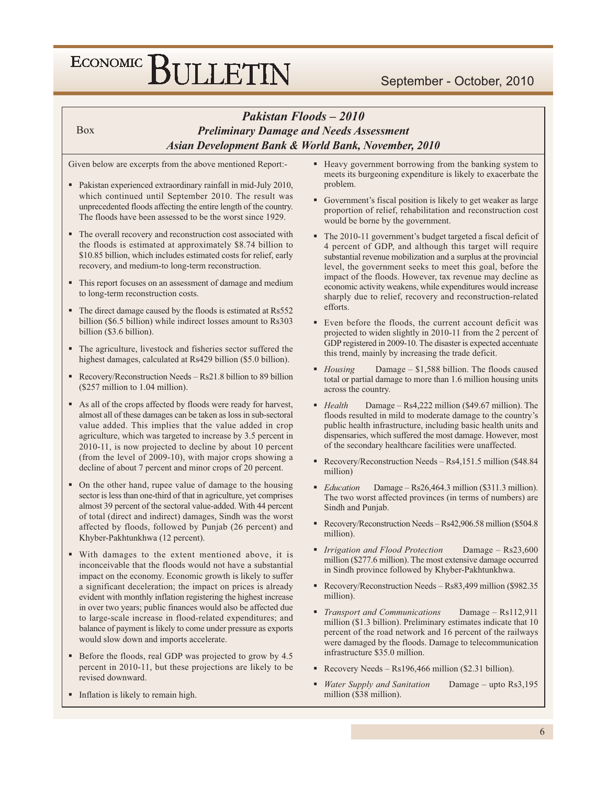#### Pakistan Floods - 2010 **Preliminary Damage and Needs Assessment** Asian Development Bank & World Bank, November, 2010

Given below are excerpts from the above mentioned Report:-

**Box** 

- Pakistan experienced extraordinary rainfall in mid-July 2010, which continued until September 2010. The result was unprecedented floods affecting the entire length of the country. The floods have been assessed to be the worst since 1929.
- The overall recovery and reconstruction cost associated with the floods is estimated at approximately \$8.74 billion to \$10.85 billion, which includes estimated costs for relief, early recovery, and medium-to long-term reconstruction.
- This report focuses on an assessment of damage and medium to long-term reconstruction costs.
- The direct damage caused by the floods is estimated at Rs552 billion (\$6.5 billion) while indirect losses amount to Rs303 billion (\$3.6 billion).
- The agriculture, livestock and fisheries sector suffered the highest damages, calculated at Rs429 billion (\$5.0 billion).
- Recovery/Reconstruction Needs  $-$  Rs21.8 billion to 89 billion (\$257 million to 1.04 million).
- As all of the crops affected by floods were ready for harvest, almost all of these damages can be taken as loss in sub-sectoral value added. This implies that the value added in crop agriculture, which was targeted to increase by 3.5 percent in 2010-11, is now projected to decline by about 10 percent (from the level of 2009-10), with major crops showing a decline of about 7 percent and minor crops of 20 percent.
- On the other hand, rupee value of damage to the housing sector is less than one-third of that in agriculture, yet comprises almost 39 percent of the sectoral value-added. With 44 percent of total (direct and indirect) damages, Sindh was the worst affected by floods, followed by Punjab (26 percent) and Khyber-Pakhtunkhwa (12 percent).
- With damages to the extent mentioned above, it is inconceivable that the floods would not have a substantial impact on the economy. Economic growth is likely to suffer a significant deceleration; the impact on prices is already evident with monthly inflation registering the highest increase in over two years; public finances would also be affected due to large-scale increase in flood-related expenditures; and balance of payment is likely to come under pressure as exports would slow down and imports accelerate.
- Before the floods, real GDP was projected to grow by 4.5 percent in 2010-11, but these projections are likely to be revised downward.
- Inflation is likely to remain high.
- Heavy government borrowing from the banking system to meets its burgeoning expenditure is likely to exacerbate the problem.
- Government's fiscal position is likely to get weaker as large proportion of relief, rehabilitation and reconstruction cost would be borne by the government.
- The 2010-11 government's budget targeted a fiscal deficit of 4 percent of GDP, and although this target will require substantial revenue mobilization and a surplus at the provincial level, the government seeks to meet this goal, before the impact of the floods. However, tax revenue may decline as economic activity weakens, while expenditures would increase sharply due to relief, recovery and reconstruction-related efforts.
- Even before the floods, the current account deficit was projected to widen slightly in 2010-11 from the 2 percent of GDP registered in 2009-10. The disaster is expected accentuate this trend, mainly by increasing the trade deficit.
- Damage \$1,588 billion. The floods caused  $\blacksquare$  Housing total or partial damage to more than 1.6 million housing units across the country.
- $H$ ealth Damage  $-$  Rs4,222 million (\$49.67 million). The floods resulted in mild to moderate damage to the country's public health infrastructure, including basic health units and dispensaries, which suffered the most damage. However, most of the secondary healthcare facilities were unaffected.
- Recovery/Reconstruction Needs Rs4,151.5 million (\$48.84 million)
- Damage  $-$  Rs26,464.3 million (\$311.3 million).  $\blacksquare$  Education The two worst affected provinces (in terms of numbers) are Sindh and Punjab.
- Recovery/Reconstruction Needs Rs42,906.58 million (\$504.8) million).
- Irrigation and Flood Protection Damage  $-$  Rs23,600 million (\$277.6 million). The most extensive damage occurred in Sindh province followed by Khyber-Pakhtunkhwa.
- Recovery/Reconstruction Needs Rs83,499 million (\$982.35) million).
- Transport and Communications Damage  $-$  Rs112,911 million (\$1.3 billion). Preliminary estimates indicate that 10 percent of the road network and 16 percent of the railways were damaged by the floods. Damage to telecommunication infrastructure \$35.0 million.
- Recovery Needs  $Rs196,466$  million (\$2.31 billion).
- Water Supply and Sanitation Damage - upto Rs3,195 million (\$38 million).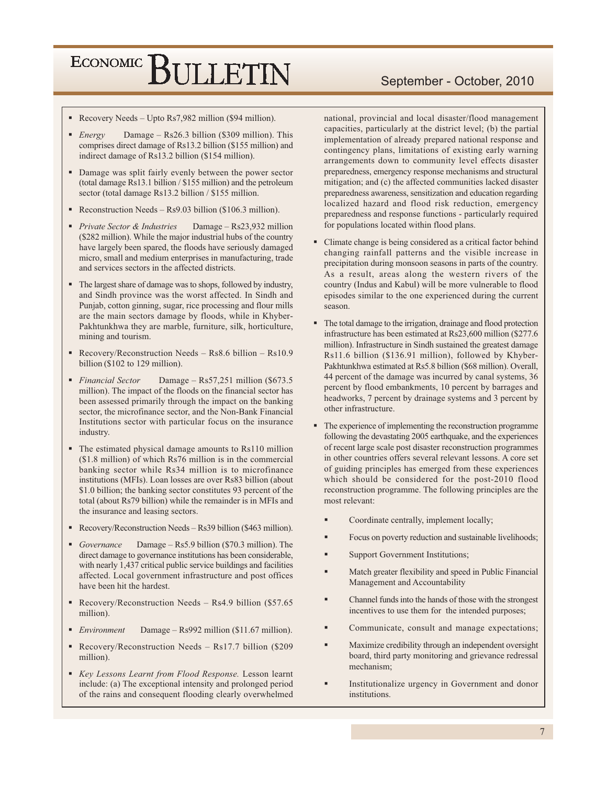- Recovery Needs Upto Rs7,982 million (\$94 million).
- Damage Rs26.3 billion (\$309 million). This  $\blacksquare$  Energy comprises direct damage of Rs13.2 billion (\$155 million) and indirect damage of Rs13.2 billion (\$154 million).
- Damage was split fairly evenly between the power sector (total damage Rs13.1 billion / \$155 million) and the petroleum sector (total damage Rs13.2 billion / \$155 million.
- Reconstruction Needs  $\text{Rs}9.03$  billion (\$106.3 million).
- Private Sector & Industries Damage  $-$  Rs23,932 million (\$282 million). While the major industrial hubs of the country have largely been spared, the floods have seriously damaged micro, small and medium enterprises in manufacturing, trade and services sectors in the affected districts.
- The largest share of damage was to shops, followed by industry, and Sindh province was the worst affected. In Sindh and Punjab, cotton ginning, sugar, rice processing and flour mills are the main sectors damage by floods, while in Khyber-Pakhtunkhwa they are marble, furniture, silk, horticulture, mining and tourism.
- Recovery/Reconstruction Needs Rs8.6 billion Rs10.9 billion (\$102 to 129 million).
- Financial Sector Damage - Rs57,251 million (\$673.5) million). The impact of the floods on the financial sector has been assessed primarily through the impact on the banking sector, the microfinance sector, and the Non-Bank Financial Institutions sector with particular focus on the insurance industry.
- The estimated physical damage amounts to Rs110 million (\$1.8 million) of which Rs76 million is in the commercial banking sector while Rs34 million is to microfinance institutions (MFIs). Loan losses are over Rs83 billion (about \$1.0 billion; the banking sector constitutes 93 percent of the total (about Rs79 billion) while the remainder is in MFIs and the insurance and leasing sectors.
- Recovery/Reconstruction Needs  $-$  Rs39 billion (\$463 million).
- Damage Rs5.9 billion (\$70.3 million). The  $\blacksquare$  Governance direct damage to governance institutions has been considerable, with nearly 1,437 critical public service buildings and facilities affected. Local government infrastructure and post offices have been hit the hardest.
- Recovery/Reconstruction Needs Rs4.9 billion  $(\$57.65$ million).
- Damage Rs992 million (\$11.67 million).  $\blacksquare$  Environment
- Recovery/Reconstruction Needs Rs17.7 billion (\$209 million).
- Key Lessons Learnt from Flood Response. Lesson learnt include: (a) The exceptional intensity and prolonged period of the rains and consequent flooding clearly overwhelmed

national, provincial and local disaster/flood management capacities, particularly at the district level; (b) the partial implementation of already prepared national response and contingency plans, limitations of existing early warning arrangements down to community level effects disaster preparedness, emergency response mechanisms and structural mitigation; and (c) the affected communities lacked disaster preparedness awareness, sensitization and education regarding localized hazard and flood risk reduction, emergency preparedness and response functions - particularly required for populations located within flood plans.

- Climate change is being considered as a critical factor behind changing rainfall patterns and the visible increase in precipitation during monsoon seasons in parts of the country. As a result, areas along the western rivers of the country (Indus and Kabul) will be more vulnerable to flood episodes similar to the one experienced during the current season.
- The total damage to the irrigation, drainage and flood protection infrastructure has been estimated at Rs23,600 million (\$277.6) million). Infrastructure in Sindh sustained the greatest damage Rs11.6 billion (\$136.91 million), followed by Khyber-Pakhtunkhwa estimated at Rs5.8 billion (\$68 million). Overall, 44 percent of the damage was incurred by canal systems, 36 percent by flood embankments, 10 percent by barrages and headworks, 7 percent by drainage systems and 3 percent by other infrastructure.
- The experience of implementing the reconstruction programme following the devastating 2005 earthquake, and the experiences of recent large scale post disaster reconstruction programmes in other countries offers several relevant lessons. A core set of guiding principles has emerged from these experiences which should be considered for the post-2010 flood reconstruction programme. The following principles are the most relevant:
	- Coordinate centrally, implement locally;
	- Focus on poverty reduction and sustainable livelihoods;
	- Support Government Institutions;
	- Match greater flexibility and speed in Public Financial Management and Accountability
	- Channel funds into the hands of those with the strongest incentives to use them for the intended purposes;
	- Communicate, consult and manage expectations;
	- Maximize credibility through an independent oversight board, third party monitoring and grievance redressal mechanism;
	- Institutionalize urgency in Government and donor institutions

#### September - October, 2010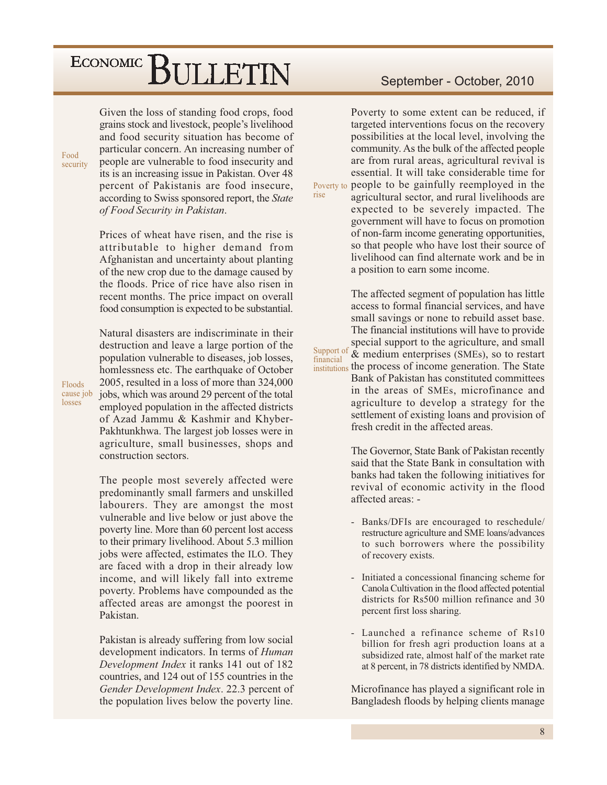Given the loss of standing food crops, food grains stock and livestock, people's livelihood and food security situation has become of particular concern. An increasing number of people are vulnerable to food insecurity and its is an increasing issue in Pakistan. Over 48 percent of Pakistanis are food insecure, according to Swiss sponsored report, the *State* of Food Security in Pakistan.

rise

Support of

financial

Prices of wheat have risen, and the rise is attributable to higher demand from Afghanistan and uncertainty about planting of the new crop due to the damage caused by the floods. Price of rice have also risen in recent months. The price impact on overall food consumption is expected to be substantial.

Natural disasters are indiscriminate in their destruction and leave a large portion of the population vulnerable to diseases, job losses, homlessness etc. The earthquake of October 2005, resulted in a loss of more than 324,000 jobs, which was around 29 percent of the total employed population in the affected districts of Azad Jammu & Kashmir and Khyber-Pakhtunkhwa. The largest job losses were in agriculture, small businesses, shops and construction sectors.

The people most severely affected were predominantly small farmers and unskilled labourers. They are amongst the most vulnerable and live below or just above the poverty line. More than 60 percent lost access to their primary livelihood. About 5.3 million jobs were affected, estimates the ILO. They are faced with a drop in their already low income, and will likely fall into extreme poverty. Problems have compounded as the affected areas are amongst the poorest in Pakistan.

Pakistan is already suffering from low social development indicators. In terms of *Human* Development Index it ranks 141 out of 182 countries, and 124 out of 155 countries in the Gender Development Index. 22.3 percent of the population lives below the poverty line.

#### September - October, 2010

Poverty to some extent can be reduced, if targeted interventions focus on the recovery possibilities at the local level, involving the community. As the bulk of the affected people are from rural areas, agricultural revival is essential. It will take considerable time for Poverty to people to be gainfully reemployed in the agricultural sector, and rural livelihoods are expected to be severely impacted. The government will have to focus on promotion of non-farm income generating opportunities,

> so that people who have lost their source of livelihood can find alternate work and be in a position to earn some income. The affected segment of population has little

access to formal financial services, and have small savings or none to rebuild asset base. The financial institutions will have to provide special support to the agriculture, and small & medium enterprises (SMEs), so to restart institutions the process of income generation. The State Bank of Pakistan has constituted committees in the areas of SMEs, microfinance and agriculture to develop a strategy for the

> The Governor, State Bank of Pakistan recently said that the State Bank in consultation with banks had taken the following initiatives for revival of economic activity in the flood affected areas: -

> settlement of existing loans and provision of

fresh credit in the affected areas.

- $\mathbf{r}$ Banks/DFIs are encouraged to reschedule/ restructure agriculture and SME loans/advances to such borrowers where the possibility of recovery exists.
- Initiated a concessional financing scheme for Canola Cultivation in the flood affected potential districts for Rs500 million refinance and 30 percent first loss sharing.
- Launched a refinance scheme of Rs10 billion for fresh agri production loans at a subsidized rate, almost half of the market rate at 8 percent, in 78 districts identified by NMDA.

Microfinance has played a significant role in Bangladesh floods by helping clients manage

Floods cause job losses

Food security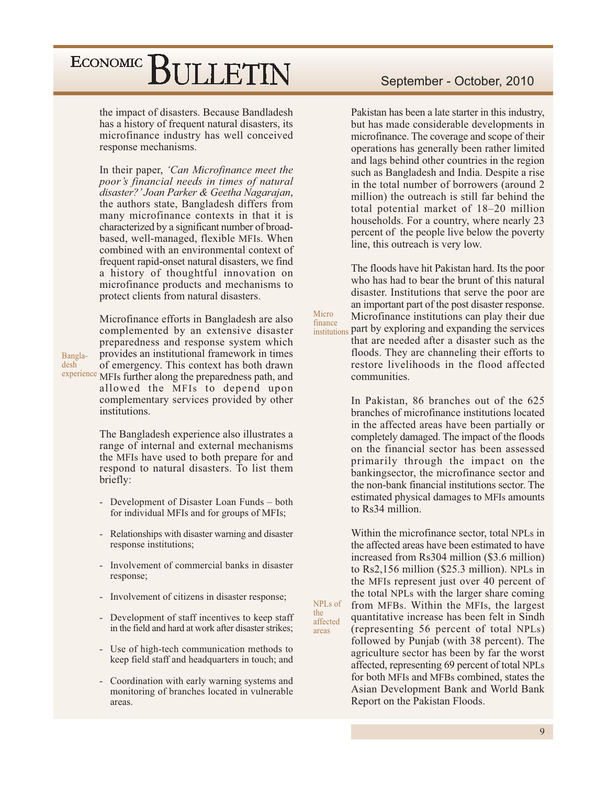the impact of disasters. Because Bandladesh has a history of frequent natural disasters, its microfinance industry has well conceived response mechanisms.

In their paper, 'Can Microfinance meet the poor's financial needs in times of natural disaster?' Joan Parker & Geetha Nagarajan, the authors state, Bangladesh differs from many microfinance contexts in that it is characterized by a significant number of broadbased, well-managed, flexible MFIs. When combined with an environmental context of frequent rapid-onset natural disasters, we find a history of thoughtful innovation on microfinance products and mechanisms to protect clients from natural disasters.

Microfinance efforts in Bangladesh are also complemented by an extensive disaster preparedness and response system which provides an institutional framework in times of emergency. This context has both drawn experience MFIs further along the preparedness path, and allowed the MFIs to depend upon complementary services provided by other institutions.

Bangla-

desh

The Bangladesh experience also illustrates a range of internal and external mechanisms the MFIs have used to both prepare for and respond to natural disasters. To list them briefly:

- Development of Disaster Loan Funds both  $\Box$ for individual MFIs and for groups of MFIs;
- Relationships with disaster warning and disaster response institutions;
- $\mathbb{Z}^{\mathbb{Z}}$ Involvement of commercial banks in disaster response;
- Involvement of citizens in disaster response;
- Development of staff incentives to keep staff in the field and hard at work after disaster strikes;
- $\mathbb{L}^{\mathbb{N}}$ Use of high-tech communication methods to keep field staff and headquarters in touch; and
- Coordination with early warning systems and  $\mathbb{Z}^{\mathbb{Z}}$ monitoring of branches located in vulnerable areas.

#### September - October, 2010

Pakistan has been a late starter in this industry, but has made considerable developments in microfinance. The coverage and scope of their operations has generally been rather limited and lags behind other countries in the region such as Bangladesh and India. Despite a rise in the total number of borrowers (around 2) million) the outreach is still far behind the total potential market of 18-20 million households. For a country, where nearly 23 percent of the people live below the poverty line, this outreach is very low.

The floods have hit Pakistan hard. Its the poor who has had to bear the brunt of this natural disaster. Institutions that serve the poor are an important part of the post disaster response. Microfinance institutions can play their due institutions part by exploring and expanding the services that are needed after a disaster such as the

Micro

finance

NPLs of

affected

the

areas

floods. They are channeling their efforts to restore livelihoods in the flood affected communities.

In Pakistan, 86 branches out of the 625 branches of microfinance institutions located in the affected areas have been partially or completely damaged. The impact of the floods on the financial sector has been assessed primarily through the impact on the bankingsector, the microfinance sector and the non-bank financial institutions sector. The estimated physical damages to MFIs amounts to Rs34 million.

Within the microfinance sector, total NPLs in the affected areas have been estimated to have increased from Rs304 million (\$3.6 million) to Rs2,156 million (\$25.3 million). NPLs in the MFIs represent just over 40 percent of the total NPLs with the larger share coming from MFBs. Within the MFIs, the largest quantitative increase has been felt in Sindh (representing 56 percent of total NPLs) followed by Punjab (with 38 percent). The agriculture sector has been by far the worst affected, representing 69 percent of total NPLs for both MFIs and MFBs combined, states the Asian Development Bank and World Bank Report on the Pakistan Floods.

9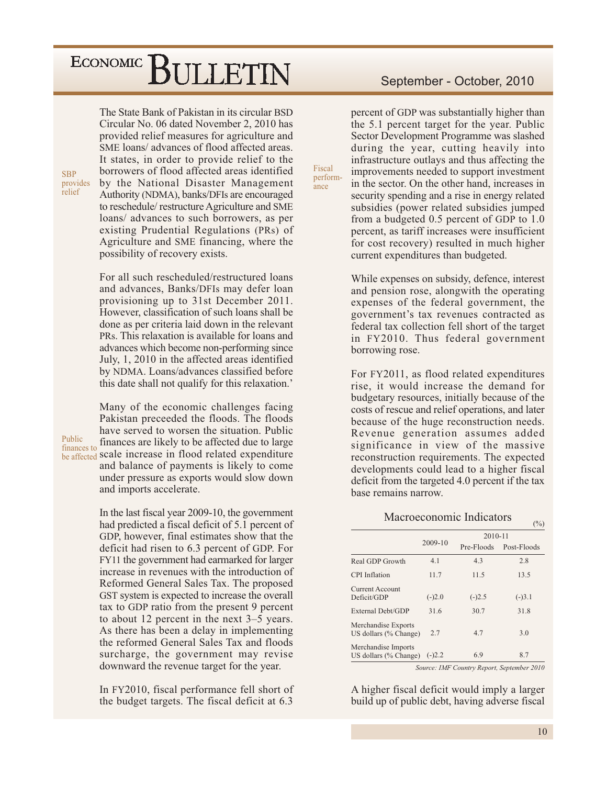The State Bank of Pakistan in its circular BSD Circular No. 06 dated November 2, 2010 has provided relief measures for agriculture and SME loans/advances of flood affected areas. It states, in order to provide relief to the borrowers of flood affected areas identified by the National Disaster Management Authority (NDMA), banks/DFIs are encouraged to reschedule/restructure Agriculture and SME loans/ advances to such borrowers, as per existing Prudential Regulations (PRs) of Agriculture and SME financing, where the possibility of recovery exists.

**SBP** 

relief

Public

provides

For all such rescheduled/restructured loans and advances, Banks/DFIs may defer loan provisioning up to 31st December 2011. However, classification of such loans shall be done as per criteria laid down in the relevant PRs. This relaxation is available for loans and advances which become non-performing since July, 1, 2010 in the affected areas identified by NDMA. Loans/advances classified before this date shall not qualify for this relaxation.'

Many of the economic challenges facing Pakistan preceeded the floods. The floods have served to worsen the situation. Public finances are likely to be affected due to large finances to be affected scale increase in flood related expenditure and balance of payments is likely to come under pressure as exports would slow down and imports accelerate.

> In the last fiscal year 2009-10, the government had predicted a fiscal deficit of 5.1 percent of GDP, however, final estimates show that the deficit had risen to 6.3 percent of GDP. For FY11 the government had earmarked for larger increase in revenues with the introduction of Reformed General Sales Tax. The proposed GST system is expected to increase the overall tax to GDP ratio from the present 9 percent to about 12 percent in the next  $3-5$  years. As there has been a delay in implementing the reformed General Sales Tax and floods surcharge, the government may revise downward the revenue target for the year.

> In FY2010, fiscal performance fell short of the budget targets. The fiscal deficit at 6.3

#### September - October, 2010

percent of GDP was substantially higher than the 5.1 percent target for the year. Public Sector Development Programme was slashed during the year, cutting heavily into infrastructure outlays and thus affecting the improvements needed to support investment in the sector. On the other hand, increases in security spending and a rise in energy related subsidies (power related subsidies jumped from a budgeted  $0.5$  percent of GDP to  $1.0$ percent, as tariff increases were insufficient for cost recovery) resulted in much higher current expenditures than budgeted.

Fiscal

 $ance$ 

perform-

While expenses on subsidy, defence, interest and pension rose, alongwith the operating expenses of the federal government, the government's tax revenues contracted as federal tax collection fell short of the target in FY2010. Thus federal government borrowing rose.

For FY2011, as flood related expenditures rise, it would increase the demand for budgetary resources, initially because of the costs of rescue and relief operations, and later because of the huge reconstruction needs. Revenue generation assumes added significance in view of the massive reconstruction requirements. The expected developments could lead to a higher fiscal deficit from the targeted 4.0 percent if the tax hase remains narrow.

#### Macroeconomic Indicators

|                                              |          | 2010-11    |             |
|----------------------------------------------|----------|------------|-------------|
|                                              | 2009-10  | Pre-Floods | Post-Floods |
| Real GDP Growth                              | 4.1      | 4.3        | 2.8         |
| CPI Inflation                                | 11.7     | 11.5       | 13.5        |
| Current Account<br>Deficit/GDP               | $(-)2.0$ | $(-)2.5$   | $(-)3.1$    |
| External Debt/GDP                            | 31.6     | 30.7       | 31.8        |
| Merchandise Exports<br>US dollars (% Change) | 2.7      | 4.7        | 3.0         |
| Merchandise Imports<br>US dollars (% Change) | $(-)2.2$ | 6.9        | 8.7         |

Source: IMF Country Report, September 2010

A higher fiscal deficit would imply a larger build up of public debt, having adverse fiscal

 $\binom{0}{0}$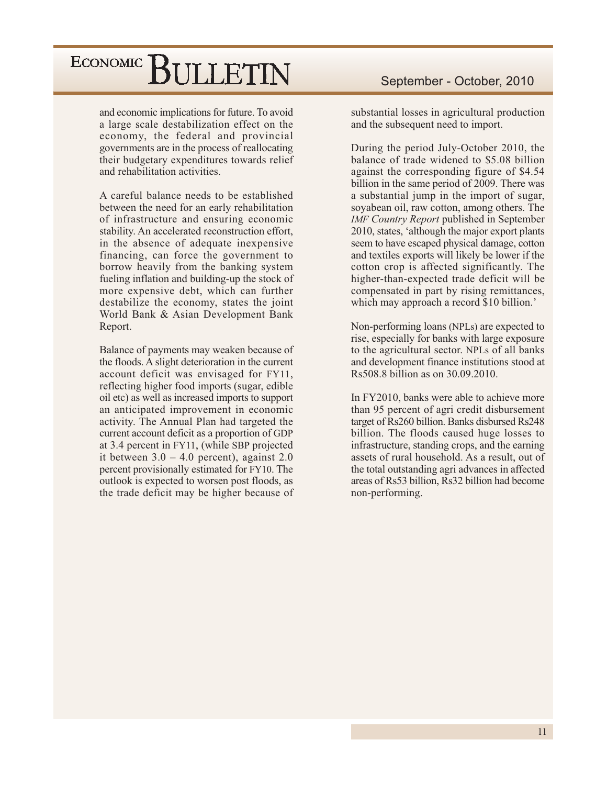and economic implications for future. To avoid a large scale destabilization effect on the economy, the federal and provincial governments are in the process of reallocating their budgetary expenditures towards relief and rehabilitation activities.

A careful balance needs to be established between the need for an early rehabilitation of infrastructure and ensuring economic stability. An accelerated reconstruction effort, in the absence of adequate inexpensive financing, can force the government to borrow heavily from the banking system fueling inflation and building-up the stock of more expensive debt, which can further destabilize the economy, states the joint World Bank & Asian Development Bank Report.

Balance of payments may weaken because of the floods. A slight deterioration in the current account deficit was envisaged for FY11, reflecting higher food imports (sugar, edible oil etc) as well as increased imports to support an anticipated improvement in economic activity. The Annual Plan had targeted the current account deficit as a proportion of GDP at 3.4 percent in FY11, (while SBP projected it between  $3.0 - 4.0$  percent), against 2.0 percent provisionally estimated for FY10. The outlook is expected to worsen post floods, as the trade deficit may be higher because of substantial losses in agricultural production and the subsequent need to import.

During the period July-October 2010, the balance of trade widened to \$5.08 billion against the corresponding figure of \$4.54 billion in the same period of 2009. There was a substantial jump in the import of sugar, soyabean oil, raw cotton, among others. The **IMF Country Report published in September** 2010, states, 'although the major export plants seem to have escaped physical damage, cotton and textiles exports will likely be lower if the cotton crop is affected significantly. The higher-than-expected trade deficit will be compensated in part by rising remittances, which may approach a record \$10 billion.

Non-performing loans (NPLs) are expected to rise, especially for banks with large exposure to the agricultural sector. NPLs of all banks and development finance institutions stood at Rs508.8 billion as on 30.09.2010.

In FY2010, banks were able to achieve more than 95 percent of agri credit disbursement target of Rs260 billion. Banks disbursed Rs248 billion. The floods caused huge losses to infrastructure, standing crops, and the earning assets of rural household. As a result, out of the total outstanding agri advances in affected areas of Rs53 billion, Rs32 billion had become non-performing.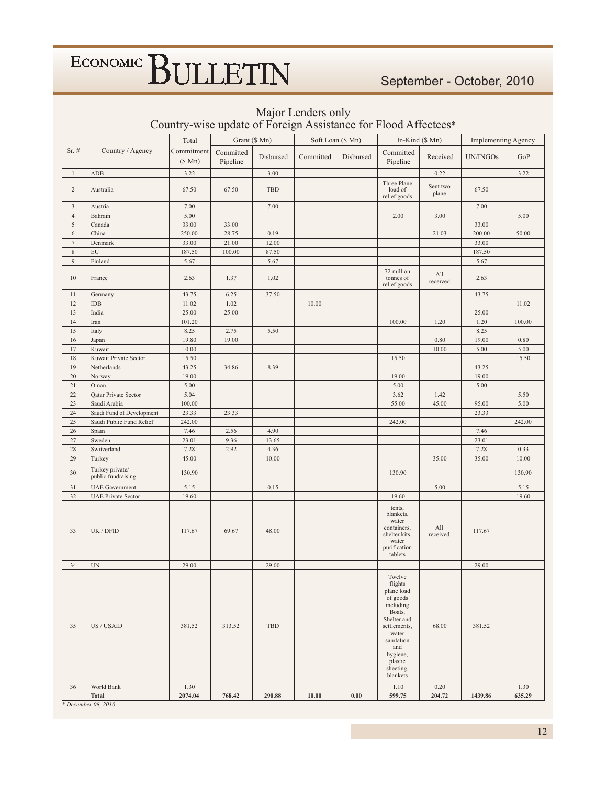#### Major Lenders only Country-wise update of Foreign Assistance for Flood Affectees\*

|                |                                       | Total                | Grant (\$ Mn)         |           | Soft Loan (\$ Mn) |           | In-Kind (\$ Mn)                                                                                                                                                                 |                   | <b>Implementing Agency</b> |        |
|----------------|---------------------------------------|----------------------|-----------------------|-----------|-------------------|-----------|---------------------------------------------------------------------------------------------------------------------------------------------------------------------------------|-------------------|----------------------------|--------|
| Sr. #          | Country / Agency                      | Commitment<br>(\$Mn) | Committed<br>Pipeline | Disbursed | Committed         | Disbursed | Committed<br>Pipeline                                                                                                                                                           | Received          | UN/INGOs                   | GoP    |
| $\mathbf{1}$   | ADB                                   | 3.22                 |                       | 3.00      |                   |           |                                                                                                                                                                                 | 0.22              |                            | 3.22   |
| $\overline{c}$ | Australia                             | 67.50                | 67.50                 | TBD       |                   |           | Three Plane<br>load of<br>relief goods                                                                                                                                          | Sent two<br>plane | 67.50                      |        |
| $\overline{3}$ | Austria                               | 7.00                 |                       | 7.00      |                   |           |                                                                                                                                                                                 |                   | 7.00                       |        |
| $\overline{4}$ | Bahrain                               | 5.00                 |                       |           |                   |           | 2.00                                                                                                                                                                            | 3.00              |                            | 5.00   |
| $\mathfrak{S}$ | Canada                                | 33.00                | 33.00                 |           |                   |           |                                                                                                                                                                                 |                   | 33.00                      |        |
| $\sqrt{6}$     | China                                 | 250.00               | 28.75                 | 0.19      |                   |           |                                                                                                                                                                                 | 21.03             | 200.00                     | 50.00  |
| $\tau$         | Denmark                               | 33.00                | 21.00                 | 12.00     |                   |           |                                                                                                                                                                                 |                   | 33.00                      |        |
| $8\,$          | ${\rm EU}$                            | 187.50               | 100.00                | 87.50     |                   |           |                                                                                                                                                                                 |                   | 187.50                     |        |
| 9              | Finland                               | 5.67                 |                       | 5.67      |                   |           |                                                                                                                                                                                 |                   | 5.67                       |        |
| 10             | France                                | 2.63                 | 1.37                  | 1.02      |                   |           | 72 million<br>tonnes of<br>relief goods                                                                                                                                         | All<br>received   | 2.63                       |        |
| 11             | Germany                               | 43.75                | 6.25                  | 37.50     |                   |           |                                                                                                                                                                                 |                   | 43.75                      |        |
| 12             | IDB                                   | 11.02                | 1.02                  |           | 10.00             |           |                                                                                                                                                                                 |                   |                            | 11.02  |
| 13             | India                                 | 25.00                | 25.00                 |           |                   |           |                                                                                                                                                                                 |                   | 25.00                      |        |
| 14             | Iran                                  | 101.20               |                       |           |                   |           | 100.00                                                                                                                                                                          | 1.20              | 1.20                       | 100.00 |
| 15             | Italy                                 | 8.25                 | 2.75                  | 5.50      |                   |           |                                                                                                                                                                                 |                   | 8.25                       |        |
| 16             | Japan                                 | 19.80                | 19.00                 |           |                   |           |                                                                                                                                                                                 | 0.80              | 19.00                      | 0.80   |
| 17             | Kuwait                                | 10.00                |                       |           |                   |           |                                                                                                                                                                                 | 10.00             | 5.00                       | 5.00   |
| 18             | Kuwait Private Sector                 | 15.50                |                       |           |                   |           | 15.50                                                                                                                                                                           |                   |                            | 15.50  |
| 19             | Netherlands                           | 43.25                | 34.86                 | 8.39      |                   |           |                                                                                                                                                                                 |                   | 43.25                      |        |
| 20             | Norway                                | 19.00                |                       |           |                   |           | 19.00                                                                                                                                                                           |                   | 19.00                      |        |
| 21             | Oman                                  | 5.00                 |                       |           |                   |           | 5.00                                                                                                                                                                            |                   | 5.00                       |        |
| 22             | Qatar Private Sector                  | 5.04                 |                       |           |                   |           | 3.62                                                                                                                                                                            | 1.42              |                            | 5.50   |
| 23             | Saudi Arabia                          | 100.00               |                       |           |                   |           | 55.00                                                                                                                                                                           | 45.00             | 95.00                      | 5.00   |
| 24             | Saudi Fund of Development             | 23.33                | 23.33                 |           |                   |           |                                                                                                                                                                                 |                   | 23.33                      |        |
| 25             | Saudi Public Fund Relief              | 242.00               |                       |           |                   |           | 242.00                                                                                                                                                                          |                   |                            | 242.00 |
| $26\,$         | Spain                                 | 7.46                 | 2.56                  | 4.90      |                   |           |                                                                                                                                                                                 |                   | 7.46                       |        |
| $27\,$         | Sweden                                | 23.01                | 9.36                  | 13.65     |                   |           |                                                                                                                                                                                 |                   | 23.01                      |        |
| 28             | Switzerland                           | 7.28                 | 2.92                  | 4.36      |                   |           |                                                                                                                                                                                 |                   | 7.28                       | 0.33   |
| 29             | Turkey                                | 45.00                |                       | 10.00     |                   |           |                                                                                                                                                                                 | 35.00             | 35.00                      | 10.00  |
| 30             | Turkey private/<br>public fundraising | 130.90               |                       |           |                   |           | 130.90                                                                                                                                                                          |                   |                            | 130.90 |
| 31             | <b>UAE</b> Government                 | 5.15                 |                       | 0.15      |                   |           |                                                                                                                                                                                 | 5.00              |                            | 5.15   |
| 32             | <b>UAE Private Sector</b>             | 19.60                |                       |           |                   |           | 19.60                                                                                                                                                                           |                   |                            | 19.60  |
| 33             | UK / DFID                             | 117.67               | 69.67                 | 48.00     |                   |           | tents,<br>blankets,<br>water<br>containers,<br>shelter kits,<br>water<br>purification<br>tablets                                                                                | All<br>received   | 117.67                     |        |
| 34             | $\ensuremath{\text{UN}}$              | 29.00                |                       | 29.00     |                   |           |                                                                                                                                                                                 |                   | 29.00                      |        |
| 35             | US / USAID                            | 381.52               | 313.52                | TBD       |                   |           | Twelve<br>flights<br>plane load<br>of goods<br>including<br>Boats,<br>Shelter and<br>settlements,<br>water<br>sanitation<br>and<br>hygiene,<br>plastic<br>sheeting,<br>blankets | 68.00             | 381.52                     |        |
| 36             | World Bank                            | 1.30                 |                       |           |                   |           | 1.10                                                                                                                                                                            | 0.20              |                            | 1.30   |
|                | <b>Total</b>                          | 2074.04              | 768.42                | 290.88    | 10.00             | 0.00      | 599.75                                                                                                                                                                          | 204.72            | 1439.86                    | 635.29 |

\* December 08, 2010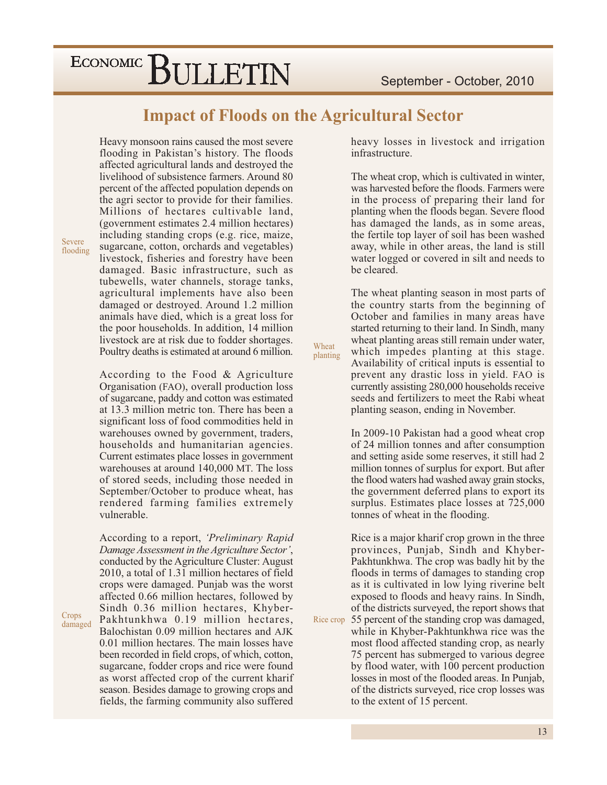#### **Impact of Floods on the Agricultural Sector**

Wheat

planting

Heavy monsoon rains caused the most severe flooding in Pakistan's history. The floods affected agricultural lands and destroyed the livelihood of subsistence farmers. Around 80 percent of the affected population depends on the agri sector to provide for their families. Millions of hectares cultivable land, (government estimates 2.4 million hectares) including standing crops (e.g. rice, maize, sugarcane, cotton, orchards and vegetables) livestock, fisheries and forestry have been damaged. Basic infrastructure, such as tubewells, water channels, storage tanks, agricultural implements have also been damaged or destroyed. Around 1.2 million animals have died, which is a great loss for the poor households. In addition, 14 million livestock are at risk due to fodder shortages. Poultry deaths is estimated at around 6 million.

According to the Food & Agriculture Organisation (FAO), overall production loss of sugarcane, paddy and cotton was estimated at 13.3 million metric ton. There has been a significant loss of food commodities held in warehouses owned by government, traders, households and humanitarian agencies. Current estimates place losses in government warehouses at around 140,000 MT. The loss of stored seeds, including those needed in September/October to produce wheat, has rendered farming families extremely vulnerable.

According to a report, 'Preliminary Rapid Damage Assessment in the Agriculture Sector', conducted by the Agriculture Cluster: August 2010, a total of 1.31 million hectares of field crops were damaged. Punjab was the worst affected 0.66 million hectares, followed by Sindh 0.36 million hectares, Khyber-Pakhtunkhwa 0.19 million hectares, Balochistan 0.09 million hectares and AJK 0.01 million hectares. The main losses have been recorded in field crops, of which, cotton, sugarcane, fodder crops and rice were found as worst affected crop of the current kharif season. Besides damage to growing crops and fields, the farming community also suffered heavy losses in livestock and irrigation infrastructure.

The wheat crop, which is cultivated in winter, was harvested before the floods. Farmers were in the process of preparing their land for planting when the floods began. Severe flood has damaged the lands, as in some areas, the fertile top layer of soil has been washed away, while in other areas, the land is still water logged or covered in silt and needs to be cleared.

The wheat planting season in most parts of the country starts from the beginning of October and families in many areas have started returning to their land. In Sindh, many wheat planting areas still remain under water, which impedes planting at this stage. Availability of critical inputs is essential to prevent any drastic loss in yield. FAO is currently assisting 280,000 households receive seeds and fertilizers to meet the Rabi wheat planting season, ending in November.

In 2009-10 Pakistan had a good wheat crop of 24 million tonnes and after consumption and setting aside some reserves, it still had 2 million tonnes of surplus for export. But after the flood waters had washed away grain stocks, the government deferred plans to export its surplus. Estimates place losses at 725,000 tonnes of wheat in the flooding.

Rice is a major kharif crop grown in the three provinces, Punjab, Sindh and Khyber-Pakhtunkhwa. The crop was badly hit by the floods in terms of damages to standing crop as it is cultivated in low lying riverine belt exposed to floods and heavy rains. In Sindh, of the districts surveyed, the report shows that Rice crop 55 percent of the standing crop was damaged, while in Khyber-Pakhtunkhwa rice was the most flood affected standing crop, as nearly 75 percent has submerged to various degree by flood water, with 100 percent production losses in most of the flooded areas. In Punjab,

of the districts surveyed, rice crop losses was

to the extent of 15 percent.

Severe flooding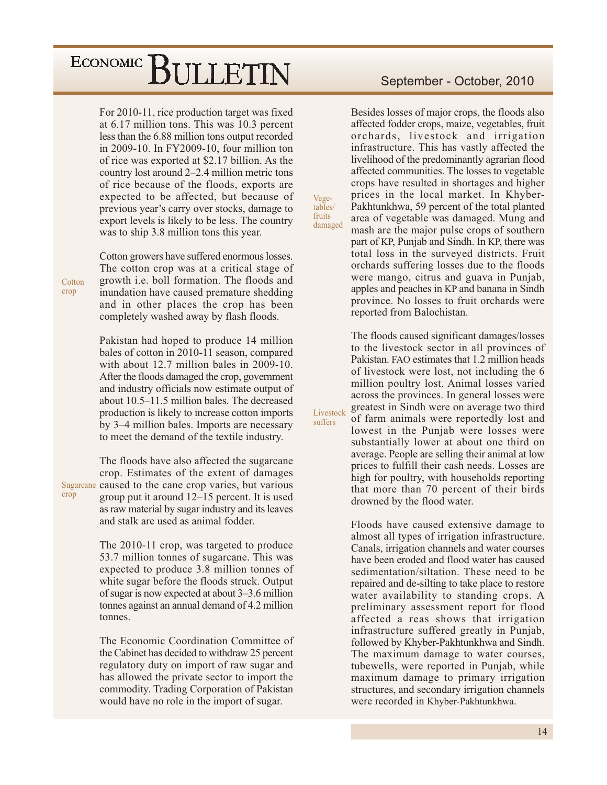For 2010-11, rice production target was fixed at 6.17 million tons. This was 10.3 percent less than the 6.88 million tons output recorded in 2009-10. In FY2009-10, four million ton of rice was exported at \$2.17 billion. As the country lost around 2–2.4 million metric tons of rice because of the floods, exports are expected to be affected, but because of previous year's carry over stocks, damage to export levels is likely to be less. The country was to ship 3.8 million tons this year.

Cotton growers have suffered enormous losses. The cotton crop was at a critical stage of growth *i.e.* boll formation. The floods and inundation have caused premature shedding and in other places the crop has been completely washed away by flash floods.

Pakistan had hoped to produce 14 million bales of cotton in 2010-11 season, compared with about 12.7 million bales in 2009-10. After the floods damaged the crop, government and industry officials now estimate output of about 10.5–11.5 million bales. The decreased production is likely to increase cotton imports by 3–4 million bales. Imports are necessary to meet the demand of the textile industry.

The floods have also affected the sugarcane crop. Estimates of the extent of damages Sugarcane caused to the cane crop varies, but various group put it around  $12-15$  percent. It is used as raw material by sugar industry and its leaves and stalk are used as animal fodder.

> The 2010-11 crop, was targeted to produce 53.7 million tonnes of sugarcane. This was expected to produce 3.8 million tonnes of white sugar before the floods struck. Output of sugar is now expected at about 3–3.6 million tonnes against an annual demand of 4.2 million tonnes.

> The Economic Coordination Committee of the Cabinet has decided to withdraw 25 percent regulatory duty on import of raw sugar and has allowed the private sector to import the commodity. Trading Corporation of Pakistan would have no role in the import of sugar.

#### September - October, 2010

Besides losses of major crops, the floods also affected fodder crops, maize, vegetables, fruit orchards, livestock and irrigation infrastructure. This has vastly affected the livelihood of the predominantly agrarian flood affected communities. The losses to vegetable crops have resulted in shortages and higher prices in the local market. In Khyber-Pakhtunkhwa, 59 percent of the total planted area of vegetable was damaged. Mung and mash are the major pulse crops of southern part of KP, Punjab and Sindh. In KP, there was total loss in the surveyed districts. Fruit orchards suffering losses due to the floods were mango, citrus and guava in Punjab, apples and peaches in KP and banana in Sindh province. No losses to fruit orchards were reported from Balochistan.

Vege-<br>tables/

fruits

damaged

Livestock

suffers

The floods caused significant damages/losses to the livestock sector in all provinces of Pakistan. FAO estimates that 1.2 million heads of livestock were lost, not including the 6 million poultry lost. Animal losses varied across the provinces. In general losses were greatest in Sindh were on average two third of farm animals were reportedly lost and lowest in the Punjab were losses were substantially lower at about one third on average. People are selling their animal at low prices to fulfill their cash needs. Losses are high for poultry, with households reporting that more than 70 percent of their birds drowned by the flood water.

Floods have caused extensive damage to almost all types of irrigation infrastructure. Canals, irrigation channels and water courses have been eroded and flood water has caused sedimentation/siltation. These need to be repaired and de-silting to take place to restore water availability to standing crops. A preliminary assessment report for flood affected a reas shows that irrigation infrastructure suffered greatly in Punjab, followed by Khyber-Pakhtunkhwa and Sindh. The maximum damage to water courses, tubewells, were reported in Punjab, while maximum damage to primary irrigation structures, and secondary irrigation channels were recorded in Khyber-Pakhtunkhwa.

Cotton crop

crop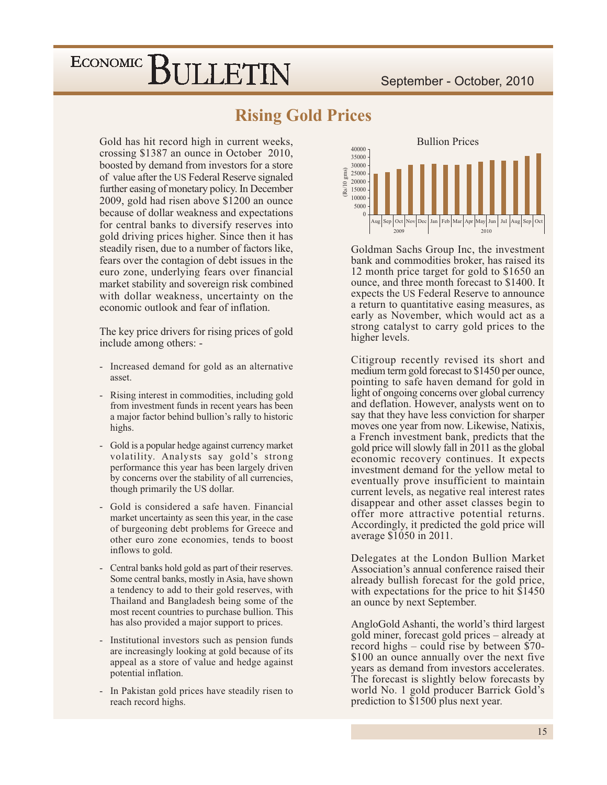#### **Rising Gold Prices**

Gold has hit record high in current weeks, crossing \$1387 an ounce in October 2010, boosted by demand from investors for a store of value after the US Federal Reserve signaled further easing of monetary policy. In December 2009, gold had risen above \$1200 an ounce because of dollar weakness and expectations for central banks to diversify reserves into gold driving prices higher. Since then it has steadily risen, due to a number of factors like, fears over the contagion of debt issues in the euro zone, underlying fears over financial market stability and sovereign risk combined with dollar weakness, uncertainty on the economic outlook and fear of inflation.

The key price drivers for rising prices of gold include among others: -

- Increased demand for gold as an alternative asset.
- Rising interest in commodities, including gold  $\equiv$ from investment funds in recent years has been a major factor behind bullion's rally to historic highs.
- Gold is a popular hedge against currency market  $\mathcal{L}^{\pm}$ volatility. Analysts say gold's strong performance this year has been largely driven by concerns over the stability of all currencies, though primarily the US dollar.
- Gold is considered a safe haven. Financial market uncertainty as seen this year, in the case of burgeoning debt problems for Greece and other euro zone economies, tends to boost inflows to gold.
- Central banks hold gold as part of their reserves. Some central banks, mostly in Asia, have shown a tendency to add to their gold reserves, with Thailand and Bangladesh being some of the most recent countries to purchase bullion. This has also provided a major support to prices.
- Institutional investors such as pension funds are increasingly looking at gold because of its appeal as a store of value and hedge against potential inflation.
- In Pakistan gold prices have steadily risen to reach record highs.



Goldman Sachs Group Inc, the investment bank and commodities broker, has raised its 12 month price target for gold to \$1650 an ounce, and three month forecast to \$1400. It expects the US Federal Reserve to announce a return to quantitative easing measures, as early as November, which would act as a strong catalyst to carry gold prices to the higher levels.

Citigroup recently revised its short and medium term gold forecast to \$1450 per ounce, pointing to safe haven demand for gold in light of ongoing concerns over global currency and deflation. However, analysts went on to say that they have less conviction for sharper moves one year from now. Likewise, Natixis, a French investment bank, predicts that the gold price will slowly fall in 2011 as the global economic recovery continues. It expects investment demand for the yellow metal to eventually prove insufficient to maintain current levels, as negative real interest rates disappear and other asset classes begin to offer more attractive potential returns. Accordingly, it predicted the gold price will average \$1050 in 2011.

Delegates at the London Bullion Market Association's annual conference raised their already bullish forecast for the gold price, with expectations for the price to hit \$1450 an ounce by next September.

AngloGold Ashanti, the world's third largest gold miner, forecast gold prices – already at record highs  $-$  could rise by between \$70-\$100 an ounce annually over the next five years as demand from investors accelerates. The forecast is slightly below forecasts by world No. 1 gold producer Barrick Gold's prediction to \$1500 plus next year.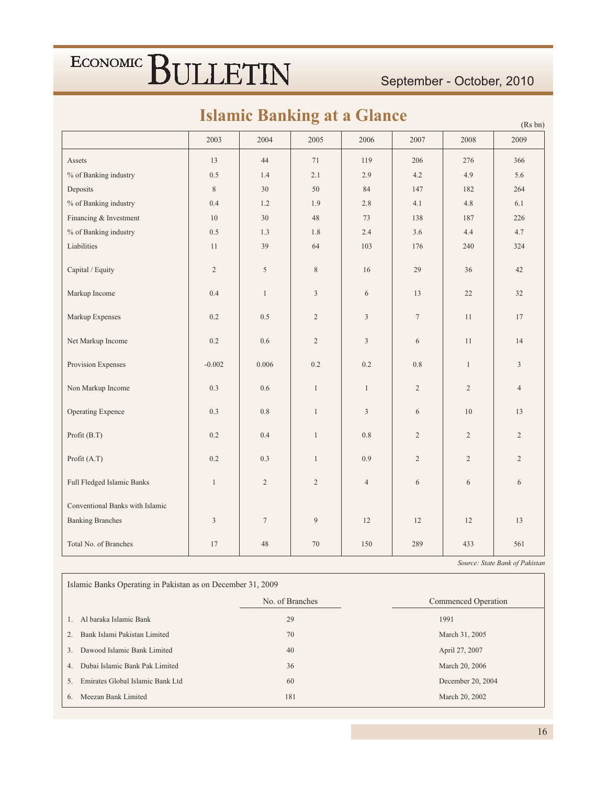#### September - October, 2010

 $(D_0, h_n)$ 

### **Islamic Banking at a Glance**

|                                 | 2003           | 2004           | 2005           | 2006           | 2007           | 2008           | $(15.0 \text{ m})$<br>2009 |
|---------------------------------|----------------|----------------|----------------|----------------|----------------|----------------|----------------------------|
| Assets                          | 13             | 44             | 71             | 119            | 206            | 276            | 366                        |
| % of Banking industry           | 0.5            | 1.4            | 2.1            | 2.9            | 4.2            | 4.9            | 5.6                        |
| Deposits                        | $8\,$          | 30             | 50             | 84             | 147            | 182            | 264                        |
| % of Banking industry           | 0.4            | 1.2            | 1.9            | $2.8\,$        | 4.1            | 4.8            | 6.1                        |
| Financing & Investment          | 10             | $30\,$         | $48\,$         | $73\,$         | 138            | 187            | 226                        |
| % of Banking industry           | $0.5\,$        | $1.3\,$        | $1.8\,$        | 2.4            | 3.6            | 4.4            | 4.7                        |
| Liabilities                     | 11             | 39             | 64             | 103            | 176            | 240            | 324                        |
| Capital / Equity                | $\sqrt{2}$     | 5              | $8\,$          | 16             | 29             | 36             | $42\,$                     |
| Markup Income                   | $0.4\,$        | $\mathbf{1}$   | $\mathfrak{Z}$ | 6              | 13             | 22             | 32                         |
| Markup Expenses                 | $0.2\,$        | $0.5\,$        | $\overline{2}$ | $\overline{3}$ | $\tau$         | 11             | $17\,$                     |
| Net Markup Income               | $0.2\,$        | $0.6\,$        | $\overline{2}$ | $\overline{3}$ | 6              | 11             | 14                         |
| Provision Expenses              | $-0.002$       | 0.006          | 0.2            | 0.2            | 0.8            | $\mathbf{1}$   | $\mathfrak{Z}$             |
| Non Markup Income               | 0.3            | 0.6            | $\mathbf{1}$   | $\mathbf{1}$   | $\overline{2}$ | $\overline{2}$ | $\overline{4}$             |
| Operating Expence               | 0.3            | 0.8            | $\mathbf{1}$   | $\overline{3}$ | 6              | 10             | 13                         |
| Profit (B.T)                    | 0.2            | 0.4            | $\mathbf{1}$   | $0.8\,$        | $\overline{2}$ | $\overline{2}$ | $\overline{2}$             |
| Profit (A.T)                    | 0.2            | 0.3            | $\mathbf{1}$   | 0.9            | $\overline{2}$ | $\overline{2}$ | $\overline{2}$             |
| Full Fledged Islamic Banks      | $\mathbf{1}$   | $\overline{2}$ | $\overline{2}$ | $\overline{4}$ | 6              | 6              | 6                          |
| Conventional Banks with Islamic |                |                |                |                |                |                |                            |
| <b>Banking Branches</b>         | $\mathfrak{Z}$ | $\tau$         | 9              | 12             | 12             | 12             | 13                         |
| Total No. of Branches           | 17             | 48             | 70             | 150            | 289            | 433            | 561                        |

Source: State Bank of Pakistan

Islamic Banks Operating in Pakistan as on December 31, 2009 No. of Branches Commenced Operation 1. Al baraka Islamic Bank  $29\,$ 1991 2. Bank Islami Pakistan Limited March 31, 2005 70 3. Dawood Islamic Bank Limited  $40\,$ April 27, 2007 4. Dubai Islamic Bank Pak Limited 36 March 20, 2006 5. Emirates Global Islamic Bank Ltd 60 December 20, 2004 6. Meezan Bank Limited 181 March 20, 2002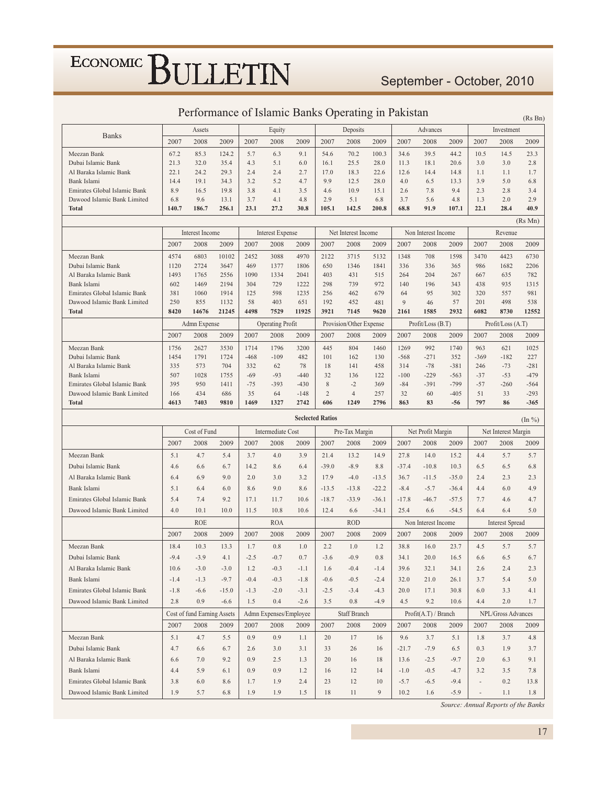### September - October, 2010

|                                             |              |                             |               |                    |                                 |              |                |                                 |             |                |                           |             |                |                           | (Rs Bn)             |
|---------------------------------------------|--------------|-----------------------------|---------------|--------------------|---------------------------------|--------------|----------------|---------------------------------|-------------|----------------|---------------------------|-------------|----------------|---------------------------|---------------------|
|                                             | Assets       |                             |               | Equity<br>Deposits |                                 |              |                |                                 | Advances    |                | Investment                |             |                |                           |                     |
| <b>Banks</b>                                | 2007         | 2008                        | 2009          | 2007               | 2008                            | 2009         | 2007           | 2008                            | 2009        | 2007           | 2008                      | 2009        | 2007           | 2008                      | 2009                |
| Meezan Bank                                 | 67.2         | 85.3                        | 124.2         | 5.7                | 6.3                             | 9.1          | 54.6           | 70.2                            | 100.3       | 34.6           | 39.5                      | 44.2        | 10.5           | 14.5                      | 23.3                |
| Dubai Islamic Bank                          | 21.3         | 32.0                        | 35.4          | 4.3                | 5.1                             | 6.0          | 16.1           | 25.5                            | 28.0        | 11.3           | 18.1                      | 20.6        | 3.0            | 3.0                       | 2.8                 |
| Al Baraka Islamic Bank                      | 22.1         | 24.2                        | 29.3          | 2.4                | 2.4                             | 2.7          | 17.0           | 18.3                            | 22.6        | 12.6           | 14.4                      | 14.8        | 1.1            | 1.1                       | 1.7                 |
| Bank Islami                                 | 14.4         | 19.1                        | 34.3          | 3.2                | 5.2                             | 4.7          | 9.9            | 12.5                            | 28.0        | 4.0            | 6.5                       | 13.3        | 3.9            | 5.0                       | 6.8                 |
| Emirates Global Islamic Bank                | 8.9          | 16.5                        | 19.8          | 3.8                | 4.1                             | 3.5          | 4.6            | 10.9                            | 15.1        | 2.6            | 7.8                       | 9.4         | 2.3            | 2.8                       | 3.4                 |
| Dawood Islamic Bank Limited                 | 6.8          | 9.6                         | 13.1          | 3.7                | 4.1                             | 4.8          | 2.9            | 5.1                             | 6.8         | 3.7            | 5.6                       | 4.8         | 1.3            | 2.0                       | 2.9                 |
| <b>Total</b>                                | 140.7        | 186.7                       | 256.1         | 23.1               | 27.2                            | 30.8         | 105.1          | 142.5                           | 200.8       | 68.8           | 91.9                      | 107.1       | 22.1           | 28.4                      | 40.9                |
|                                             |              |                             |               |                    |                                 |              |                |                                 |             |                |                           |             |                |                           | (Rs Mn)             |
|                                             |              | Interest Income             |               |                    | Interest Expense                |              |                | Net Interest Income             |             |                | Non Interest Income       |             |                | Revenue                   |                     |
|                                             | 2007         | 2008                        | 2009          | 2007               | 2008                            | 2009         | 2007           | 2008                            | 2009        | 2007           | 2008                      | 2009        | 2007           | 2008                      | 2009                |
| Meezan Bank                                 | 4574         | 6803                        | 10102         | 2452               | 3088                            | 4970         | 2122           | 3715                            | 5132        | 1348           | 708                       | 1598        | 3470           | 4423                      | 6730                |
| Dubai Islamic Bank                          | 1120         | 2724                        | 3647          | 469                | 1377                            | 1806         | 650            | 1346                            | 1841        | 336            | 336                       | 365         | 986            | 1682                      | 2206                |
| Al Baraka Islamic Bank                      | 1493         | 1765                        | 2556          | 1090               | 1334                            | 2041         | 403            | 431                             | 515         | 264            | 204                       | 267         | 667            | 635                       | 782                 |
| Bank Islami                                 | 602          | 1469                        | 2194          | 304                | 729                             | 1222         | 298            | 739                             | 972         | 140            | 196                       | 343         | 438            | 935                       | 1315                |
| Emirates Global Islamic Bank                | 381          | 1060                        | 1914          | 125                | 598                             | 1235         | 256            | 462                             | 679         | 64             | 95                        | 302         | 320            | 557                       | 981                 |
| Dawood Islamic Bank Limited<br><b>Total</b> | 250<br>8420  | 855<br>14676                | 1132<br>21245 | 58<br>4498         | 403<br>7529                     | 651<br>11925 | 192<br>3921    | 452<br>7145                     | 481<br>9620 | 9<br>2161      | 46<br>1585                | 57<br>2932  | 201<br>6082    | 498<br>8730               | 538<br>12552        |
|                                             |              |                             |               |                    |                                 |              |                |                                 |             |                |                           |             |                |                           |                     |
|                                             | 2007         | Admn Expense<br>2008        | 2009          | 2007               | <b>Operating Profit</b><br>2008 | 2009         | 2007           | Provision/Other Expense<br>2008 | 2009        | 2007           | Profit/Loss (B.T)<br>2008 | 2009        | 2007           | Profit/Loss (A.T)<br>2008 | 2009                |
|                                             |              |                             |               |                    |                                 |              |                |                                 |             |                |                           |             |                |                           |                     |
| Meezan Bank<br>Dubai Islamic Bank           | 1756<br>1454 | 2627<br>1791                | 3530<br>1724  | 1714<br>$-468$     | 1796<br>$-109$                  | 3200<br>482  | 445<br>101     | 804<br>162                      | 1460<br>130 | 1269<br>$-568$ | 992<br>$-271$             | 1740<br>352 | 963<br>$-369$  | 621<br>$-182$             | 1025<br>227         |
| Al Baraka Islamic Bank                      | 335          | 573                         | 704           | 332                | 62                              | 78           | 18             | 141                             | 458         | 314            | $-78$                     | $-381$      | 246            | $-73$                     | $-281$              |
| Bank Islami                                 | 507          | 1028                        | 1755          | $-69$              | $-93$                           | $-440$       | 32             | 136                             | 122         | $-100$         | $-229$                    | $-563$      | $-37$          | $-53$                     | $-479$              |
| Emirates Global Islamic Bank                | 395          | 950                         | 1411          | $-75$              | $-393$                          | $-430$       | 8              | $-2$                            | 369         | $-84$          | $-391$                    | $-799$      | $-57$          | $-260$                    | -564                |
| Dawood Islamic Bank Limited                 | 166          | 434                         | 686           | 35                 | 64                              | $-148$       | $\overline{c}$ | $\overline{4}$                  | 257         | 32             | 60                        | $-405$      | 51             | 33                        | $-293$              |
| <b>Total</b>                                | 4613         | 7403                        | 9810          | 1469               | 1327                            | 2742         | 606            | 1249                            | 2796        | 863            | 83                        | $-56$       | 797            | 86                        | -365                |
| <b>Seclected Ratios</b>                     |              |                             |               |                    |                                 |              |                |                                 |             |                |                           |             |                |                           |                     |
|                                             |              |                             |               |                    |                                 |              |                |                                 |             |                |                           |             |                |                           | $(\ln \frac{9}{6})$ |
|                                             |              | Cost of Fund                |               |                    | Intermediate Cost               |              |                | Pre-Tax Margin                  |             |                | Net Profit Margin         |             |                | Net Interest Margin       |                     |
|                                             | 2007         | 2008                        | 2009          | 2007               | 2008                            | 2009         | 2007           | 2008                            | 2009        | 2007           | 2008                      | 2009        | 2007           | 2008                      | 2009                |
| Meezan Bank                                 | 5.1          | 4.7                         | 5.4           | 3.7                | 4.0                             | 3.9          | 21.4           | 13.2                            | 14.9        | 27.8           | 14.0                      | 15.2        | 4.4            | 5.7                       | 5.7                 |
| Dubai Islamic Bank                          | 4.6          | 6.6                         | 6.7           | 14.2               | 8.6                             | 6.4          | $-39.0$        | $-8.9$                          | 8.8         | $-37.4$        | $-10.8$                   | 10.3        | 6.5            | 6.5                       | 6.8                 |
| Al Baraka Islamic Bank                      | 6.4          | 6.9                         | 9.0           | 2.0                | 3.0                             | 3.2          | 17.9           | $-4.0$                          | $-13.5$     | 36.7           | $-11.5$                   | $-35.0$     | 2.4            | 2.3                       | 2.3                 |
|                                             |              |                             |               |                    |                                 |              |                |                                 |             |                |                           |             |                |                           |                     |
| Bank Islami                                 | 5.1          | 6.4                         | 6.0           | 8.6                | 9.0                             | 8.6          | $-13.5$        | $-13.8$                         | $-22.2$     | $-8.4$         | $-5.7$                    | $-36.4$     | 4.4            | 6.0                       | 4.9                 |
| Emirates Global Islamic Bank                | 5.4          | 7.4                         | 9.2           | 17.1               | 11.7                            | 10.6         | $-18.7$        | $-33.9$                         | $-36.1$     | $-17.8$        | $-46.7$                   | $-57.5$     | 7.7            | 4.6                       | 4.7                 |
| Dawood Islamic Bank Limited                 | 4.0          | 10.1                        | 10.0          | 11.5               | 10.8                            | 10.6         | 12.4           | 6.6                             | $-34.1$     | 25.4           | 6.6                       | $-54.5$     | 6.4            | 6.4                       | 5.0                 |
|                                             |              | <b>ROE</b>                  |               |                    | <b>ROA</b>                      |              |                | <b>ROD</b>                      |             |                | Non Interest Income       |             |                | <b>Interest Spread</b>    |                     |
|                                             | 2007         | 2008                        | 2009          | 2007               | 2008                            | 2009         | 2007           | 2008                            | 2009        | 2007           | 2008                      | 2009        | 2007           | 2008                      | 2009                |
| Meezan Bank                                 | 18.4         | 10.3                        | 13.3          | 1.7                | 0.8                             | 1.0          | 2.2            | 1.0                             | 1.2         | 38.8           | 16.0                      | 23.7        | 4.5            | 5.7                       | 5.7                 |
| Dubai Islamic Bank                          | $-9.4$       | $-3.9$                      | 4.1           | $-2.5$             | $-0.7$                          | 0.7          | $-3.6$         | $-0.9$                          | $0.8\,$     | 34.1           | 20.0                      | 16.5        | 6.6            | 6.5                       | 6.7                 |
| Al Baraka Islamic Bank                      | 10.6         | $-3.0$                      | $-3.0$        | 1.2                | $-0.3$                          | $-1.1$       | 1.6            | $-0.4$                          | $-1.4$      | 39.6           | 32.1                      | 34.1        | 2.6            | 2.4                       | 2.3                 |
| Bank Islami                                 | $-1.4$       | $-1.3$                      | $-9.7$        | $-0.4$             | $-0.3$                          | $-1.8$       | $-0.6$         | $-0.5$                          | $-2.4$      | 32.0           | 21.0                      | 26.1        | 3.7            | 5.4                       | 5.0                 |
| Emirates Global Islamic Bank                | $-1.8$       | $-6.6$                      | $-15.0$       | $-1.3$             | $-2.0$                          | $-3.1$       | $-2.5$         | $-3.4$                          | $-4.3$      | 20.0           | 17.1                      | 30.8        | 6.0            | 3.3                       | 4.1                 |
| Dawood Islamic Bank Limited                 | 2.8          | 0.9                         | $-6.6$        | 1.5                | 0.4                             | $-2.6$       | 3.5            | 0.8                             | $-4.9$      | 4.5            | 9.2                       | 10.6        | 4.4            | 2.0                       | 1.7                 |
|                                             |              | Cost of fund Earning Assets |               |                    | Admn Expenses/Employee          |              |                | Staff Branch                    |             |                | Profit(A.T)/Branch        |             |                | NPL/Gross Advances        |                     |
|                                             | 2007         | 2008                        | 2009          | 2007               | 2008                            | 2009         | 2007           | 2008                            | 2009        | 2007           | 2008                      | 2009        | 2007           | 2008                      | 2009                |
| Meezan Bank                                 | 5.1          | 4.7                         | 5.5           | 0.9                | 0.9                             | 1.1          | 20             | 17                              | 16          | 9.6            | 3.7                       | 5.1         | 1.8            | 3.7                       | 4.8                 |
| Dubai Islamic Bank                          | 4.7          | 6.6                         | 6.7           | 2.6                | 3.0                             | 3.1          | 33             | 26                              | 16          | $-21.7$        | $-7.9$                    | 6.5         | 0.3            | 1.9                       | 3.7                 |
| Al Baraka Islamic Bank                      | 6.6          | 7.0                         | 9.2           | 0.9                | 2.5                             | 1.3          | 20             | 16                              | 18          | 13.6           | $-2.5$                    | $-9.7$      | 2.0            | 6.3                       | 9.1                 |
| Bank Islami                                 | 4.4          | 5.9                         | 6.1           | 0.9                | 0.9                             | 1.2          | 16             | 12                              | 14          | $-1.0$         | $-0.5$                    | $-4.7$      | 3.2            | 3.5                       | 7.8                 |
| Emirates Global Islamic Bank                | 3.8          | 6.0                         | 8.6           | 1.7                | 1.9                             | 2.4          | 23             | 12                              | 10          | $-5.7$         | $-6.5$                    | $-9.4$      | $\overline{a}$ | 0.2                       | 13.8                |

#### Performance of Islamic Banks Operating in Pakistan

Source: Annual Reports of the Banks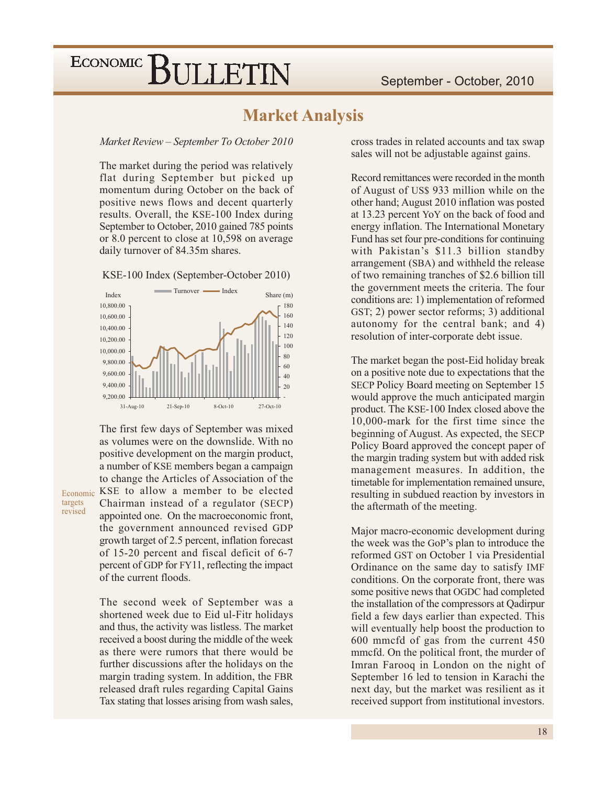#### **Market Analysis**

#### Market Review - September To October 2010

The market during the period was relatively flat during September but picked up momentum during October on the back of positive news flows and decent quarterly results. Overall, the KSE-100 Index during September to October, 2010 gained 785 points or 8.0 percent to close at 10,598 on average daily turnover of 84.35m shares.

KSE-100 Index (September-October 2010)



The first few days of September was mixed as volumes were on the downslide. With no positive development on the margin product, a number of KSE members began a campaign to change the Articles of Association of the KSE to allow a member to be elected Chairman instead of a regulator (SECP) appointed one. On the macroeconomic front, the government announced revised GDP growth target of 2.5 percent, inflation forecast of 15-20 percent and fiscal deficit of 6-7 percent of GDP for FY11, reflecting the impact of the current floods.

Economic

targets

revised

The second week of September was a shortened week due to Eid ul-Fitr holidays and thus, the activity was listless. The market received a boost during the middle of the week as there were rumors that there would be further discussions after the holidays on the margin trading system. In addition, the FBR released draft rules regarding Capital Gains Tax stating that losses arising from wash sales,

cross trades in related accounts and tax swap sales will not be adjustable against gains.

Record remittances were recorded in the month of August of US\$ 933 million while on the other hand; August 2010 inflation was posted at 13.23 percent YoY on the back of food and energy inflation. The International Monetary Fund has set four pre-conditions for continuing with Pakistan's \$11.3 billion standby arrangement (SBA) and withheld the release of two remaining tranches of \$2.6 billion till the government meets the criteria. The four conditions are: 1) implementation of reformed GST; 2) power sector reforms; 3) additional autonomy for the central bank; and 4) resolution of inter-corporate debt issue.

The market began the post-Eid holiday break on a positive note due to expectations that the SECP Policy Board meeting on September 15 would approve the much anticipated margin product. The KSE-100 Index closed above the 10,000-mark for the first time since the beginning of August. As expected, the SECP Policy Board approved the concept paper of the margin trading system but with added risk management measures. In addition, the timetable for implementation remained unsure, resulting in subdued reaction by investors in the aftermath of the meeting.

Major macro-economic development during the week was the GoP's plan to introduce the reformed GST on October 1 via Presidential Ordinance on the same day to satisfy IMF conditions. On the corporate front, there was some positive news that OGDC had completed the installation of the compressors at Qadirpur field a few days earlier than expected. This will eventually help boost the production to 600 mmcfd of gas from the current 450 mmcfd. On the political front, the murder of Imran Farooq in London on the night of September 16 led to tension in Karachi the next day, but the market was resilient as it received support from institutional investors.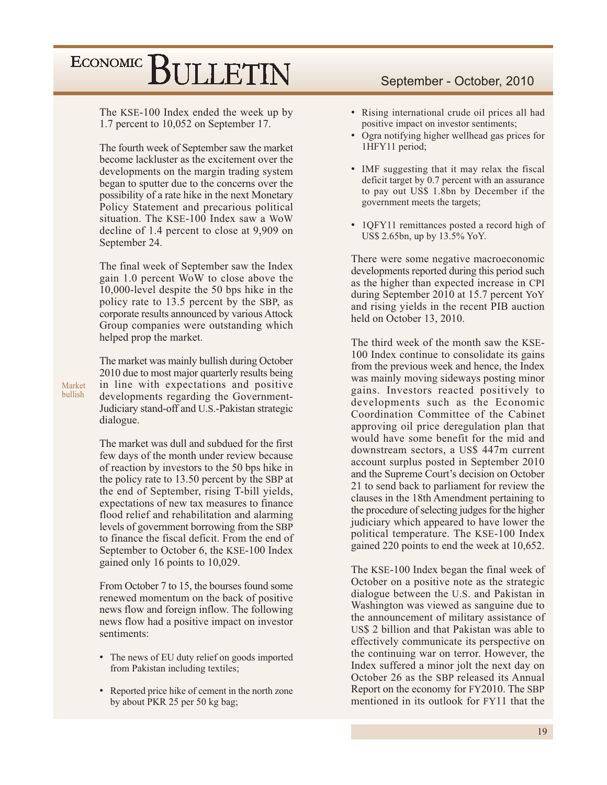The KSE-100 Index ended the week up by 1.7 percent to 10,052 on September 17.

The fourth week of September saw the market become lackluster as the excitement over the developments on the margin trading system began to sputter due to the concerns over the possibility of a rate hike in the next Monetary Policy Statement and precarious political situation. The KSE-100 Index saw a WoW decline of 1.4 percent to close at 9,909 on September 24.

The final week of September saw the Index gain 1.0 percent WoW to close above the 10,000-level despite the 50 bps hike in the policy rate to 13.5 percent by the SBP, as corporate results announced by various Attock Group companies were outstanding which helped prop the market.

The market was mainly bullish during October 2010 due to most major quarterly results being in line with expectations and positive developments regarding the Government-Judiciary stand-off and U.S.-Pakistan strategic dialogue.

Market

bullish

The market was dull and subdued for the first few days of the month under review because of reaction by investors to the 50 bps hike in the policy rate to 13.50 percent by the SBP at the end of September, rising T-bill yields, expectations of new tax measures to finance flood relief and rehabilitation and alarming levels of government borrowing from the SBP to finance the fiscal deficit. From the end of September to October 6, the KSE-100 Index gained only 16 points to 10,029.

From October 7 to 15, the bourses found some renewed momentum on the back of positive news flow and foreign inflow. The following news flow had a positive impact on investor sentiments:

- The news of EU duty relief on goods imported from Pakistan including textiles;
- Reported price hike of cement in the north zone by about PKR 25 per 50 kg bag;

#### September - October, 2010

- Rising international crude oil prices all had positive impact on investor sentiments;
- Ogra notifying higher wellhead gas prices for 1HFY11 period;
- IMF suggesting that it may relax the fiscal deficit target by 0.7 percent with an assurance to pay out US\$ 1.8bn by December if the government meets the targets;
- 10FY11 remittances posted a record high of US\$ 2.65bn, up by 13.5% YoY.

There were some negative macroeconomic developments reported during this period such as the higher than expected increase in CPI during September 2010 at 15.7 percent YoY and rising yields in the recent PIB auction held on October 13, 2010.

The third week of the month saw the KSE-100 Index continue to consolidate its gains from the previous week and hence, the Index was mainly moving sideways posting minor gains. Investors reacted positively to developments such as the Economic Coordination Committee of the Cabinet approving oil price deregulation plan that would have some benefit for the mid and downstream sectors, a US\$ 447m current account surplus posted in September 2010 and the Supreme Court's decision on October 21 to send back to parliament for review the clauses in the 18th Amendment pertaining to the procedure of selecting judges for the higher judiciary which appeared to have lower the political temperature. The KSE-100 Index gained 220 points to end the week at 10,652.

The KSE-100 Index began the final week of October on a positive note as the strategic dialogue between the U.S. and Pakistan in Washington was viewed as sanguine due to the announcement of military assistance of US\$ 2 billion and that Pakistan was able to effectively communicate its perspective on the continuing war on terror. However, the Index suffered a minor jolt the next day on October 26 as the SBP released its Annual Report on the economy for FY2010. The SBP mentioned in its outlook for FY11 that the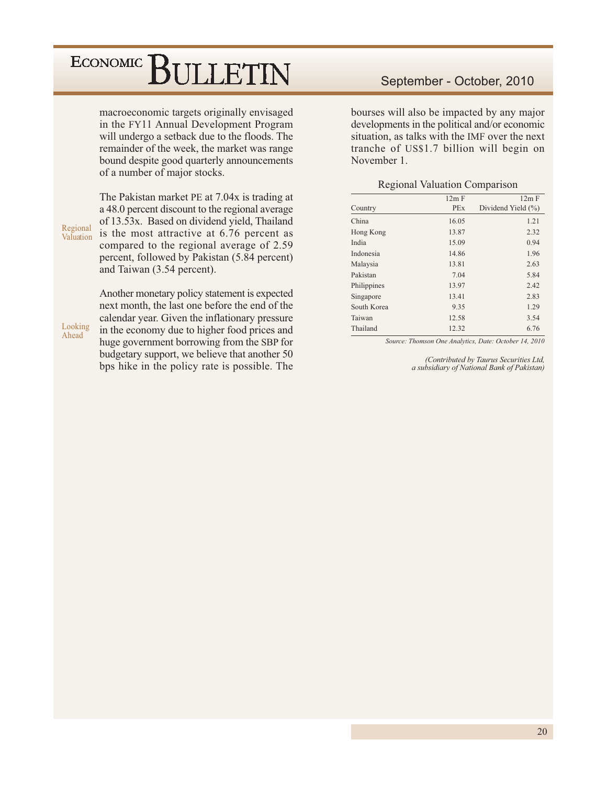macroeconomic targets originally envisaged in the FY11 Annual Development Program will undergo a setback due to the floods. The remainder of the week, the market was range bound despite good quarterly announcements of a number of major stocks.

The Pakistan market PE at 7.04x is trading at a 48.0 percent discount to the regional average of 13.53x. Based on dividend yield, Thailand is the most attractive at 6.76 percent as compared to the regional average of 2.59 percent, followed by Pakistan (5.84 percent) and Taiwan (3.54 percent).

Regional

Valuation

Looking

Ahead

Another monetary policy statement is expected next month, the last one before the end of the calendar year. Given the inflationary pressure in the economy due to higher food prices and huge government borrowing from the SBP for budgetary support, we believe that another 50 bps hike in the policy rate is possible. The

#### September - October, 2010

bourses will also be impacted by any major developments in the political and/or economic situation, as talks with the IMF over the next tranche of US\$1.7 billion will begin on November 1.

#### **Regional Valuation Comparison**

|            | $12m$ F            |
|------------|--------------------|
| <b>PEx</b> | Dividend Yield (%) |
| 16.05      | 1.21               |
| 13.87      | 2.32               |
| 15.09      | 0.94               |
| 14.86      | 1.96               |
| 13.81      | 2.63               |
| 7.04       | 5.84               |
| 13.97      | 2.42               |
| 13.41      | 2.83               |
| 9.35       | 1.29               |
| 12.58      | 3.54               |
| 12.32      | 6.76               |
|            | 12m F              |

Source: Thomson One Analytics, Date: October 14, 2010

(Contributed by Taurus Securities Ltd, a subsidiary of National Bank of Pakistan)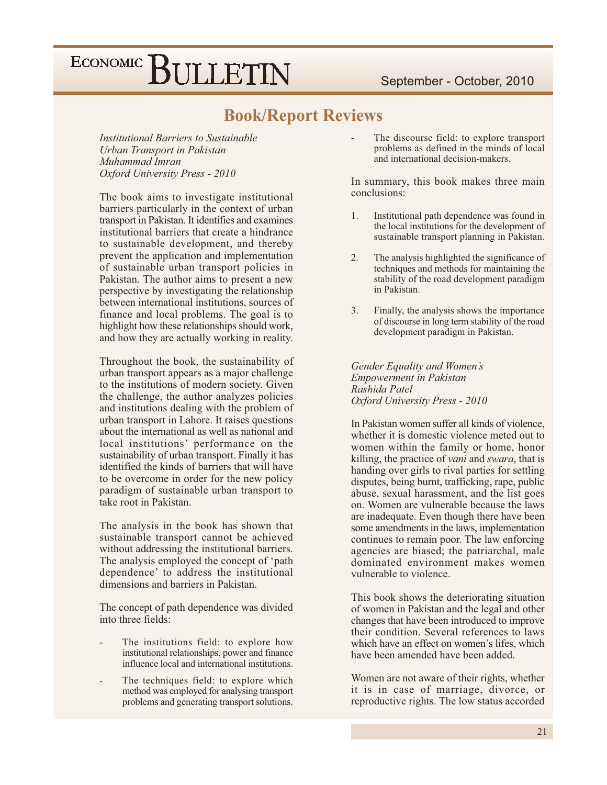#### **Book/Report Reviews**

*Institutional Barriers to Sustainable* Urban Transport in Pakistan Muhammad Imran Oxford University Press - 2010

The book aims to investigate institutional barriers particularly in the context of urban transport in Pakistan. It identifies and examines institutional barriers that create a hindrance to sustainable development, and thereby prevent the application and implementation of sustainable urban transport policies in Pakistan. The author aims to present a new perspective by investigating the relationship between international institutions, sources of finance and local problems. The goal is to highlight how these relationships should work, and how they are actually working in reality.

Throughout the book, the sustainability of urban transport appears as a major challenge to the institutions of modern society. Given the challenge, the author analyzes policies and institutions dealing with the problem of urban transport in Lahore. It raises questions about the international as well as national and local institutions' performance on the sustainability of urban transport. Finally it has identified the kinds of barriers that will have to be overcome in order for the new policy paradigm of sustainable urban transport to take root in Pakistan.

The analysis in the book has shown that sustainable transport cannot be achieved without addressing the institutional barriers. The analysis employed the concept of 'path dependence' to address the institutional dimensions and barriers in Pakistan.

The concept of path dependence was divided into three fields:

- The institutions field: to explore how institutional relationships, power and finance influence local and international institutions.
- The techniques field: to explore which method was employed for analysing transport problems and generating transport solutions.

The discourse field: to explore transport problems as defined in the minds of local and international decision-makers.

In summary, this book makes three main conclusions:

- $1$ Institutional path dependence was found in the local institutions for the development of sustainable transport planning in Pakistan.
- $2.$ The analysis highlighted the significance of techniques and methods for maintaining the stability of the road development paradigm in Pakistan.
- $3.$ Finally, the analysis shows the importance of discourse in long term stability of the road development paradigm in Pakistan.

Gender Equality and Women's **Empowerment** in Pakistan Rashida Patel Oxford University Press - 2010

In Pakistan women suffer all kinds of violence. whether it is domestic violence meted out to women within the family or home, honor killing, the practice of *vani* and *swara*, that is handing over girls to rival parties for settling disputes, being burnt, trafficking, rape, public abuse, sexual harassment, and the list goes on. Women are vulnerable because the laws are inadequate. Even though there have been some amendments in the laws, implementation continues to remain poor. The law enforcing agencies are biased; the patriarchal, male dominated environment makes women vulnerable to violence.

This book shows the deteriorating situation of women in Pakistan and the legal and other changes that have been introduced to improve their condition. Several references to laws which have an effect on women's lifes, which have been amended have been added.

Women are not aware of their rights, whether it is in case of marriage, divorce, or reproductive rights. The low status accorded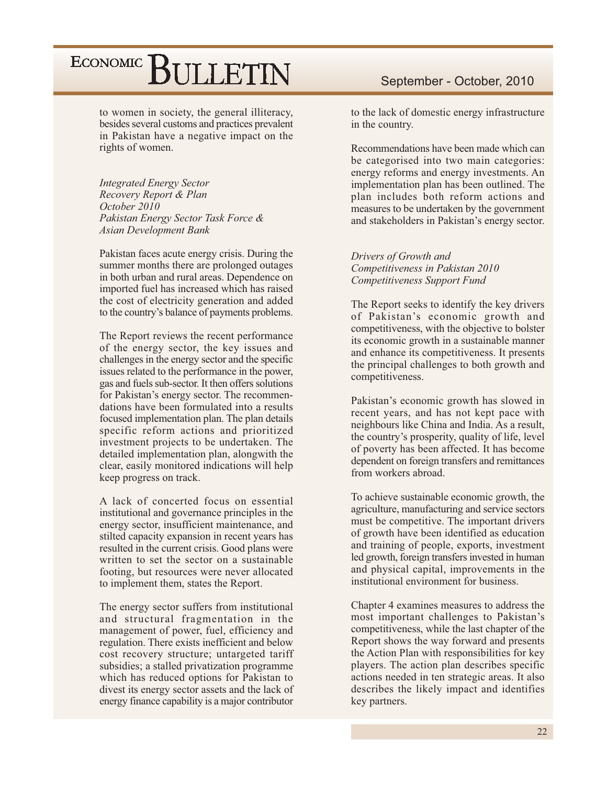to women in society, the general illiteracy, besides several customs and practices prevalent in Pakistan have a negative impact on the rights of women.

**Integrated Energy Sector** Recovery Report & Plan October 2010 Pakistan Energy Sector Task Force & **Asian Development Bank** 

Pakistan faces acute energy crisis. During the summer months there are prolonged outages in both urban and rural areas. Dependence on imported fuel has increased which has raised the cost of electricity generation and added to the country's balance of payments problems.

The Report reviews the recent performance of the energy sector, the key issues and challenges in the energy sector and the specific issues related to the performance in the power. gas and fuels sub-sector. It then offers solutions for Pakistan's energy sector. The recommendations have been formulated into a results focused implementation plan. The plan details specific reform actions and prioritized investment projects to be undertaken. The detailed implementation plan, alongwith the clear, easily monitored indications will help keep progress on track.

A lack of concerted focus on essential institutional and governance principles in the energy sector, insufficient maintenance, and stilted capacity expansion in recent years has resulted in the current crisis. Good plans were written to set the sector on a sustainable footing, but resources were never allocated to implement them, states the Report.

The energy sector suffers from institutional and structural fragmentation in the management of power, fuel, efficiency and regulation. There exists inefficient and below cost recovery structure; untargeted tariff subsidies; a stalled privatization programme which has reduced options for Pakistan to divest its energy sector assets and the lack of energy finance capability is a major contributor

to the lack of domestic energy infrastructure in the country.

Recommendations have been made which can be categorised into two main categories: energy reforms and energy investments. An implementation plan has been outlined. The plan includes both reform actions and measures to be undertaken by the government and stakeholders in Pakistan's energy sector.

Drivers of Growth and Competitiveness in Pakistan 2010 Competitiveness Support Fund

The Report seeks to identify the key drivers of Pakistan's economic growth and competitiveness, with the objective to bolster its economic growth in a sustainable manner and enhance its competitiveness. It presents the principal challenges to both growth and competitiveness.

Pakistan's economic growth has slowed in recent years, and has not kept pace with neighbours like China and India. As a result, the country's prosperity, quality of life, level of poverty has been affected. It has become dependent on foreign transfers and remittances from workers abroad.

To achieve sustainable economic growth, the agriculture, manufacturing and service sectors must be competitive. The important drivers of growth have been identified as education and training of people, exports, investment led growth, foreign transfers invested in human and physical capital, improvements in the institutional environment for business

Chapter 4 examines measures to address the most important challenges to Pakistan's competitiveness, while the last chapter of the Report shows the way forward and presents the Action Plan with responsibilities for key players. The action plan describes specific actions needed in ten strategic areas. It also describes the likely impact and identifies key partners.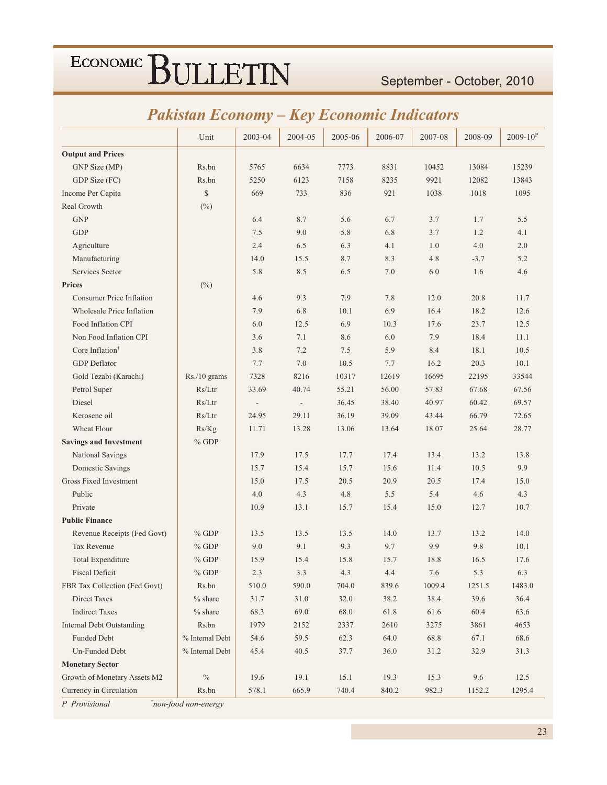#### September - October, 2010

### **Pakistan Economy - Key Economic Indicators**

|                                  | Unit            | 2003-04        | 2004-05                  | 2005-06 | 2006-07 | 2007-08 | 2008-09 | $2009 - 10^{P}$ |
|----------------------------------|-----------------|----------------|--------------------------|---------|---------|---------|---------|-----------------|
| <b>Output and Prices</b>         |                 |                |                          |         |         |         |         |                 |
| GNP Size (MP)                    | Rs.bn           | 5765           | 6634                     | 7773    | 8831    | 10452   | 13084   | 15239           |
| GDP Size (FC)                    | Rs.bn           | 5250           | 6123                     | 7158    | 8235    | 9921    | 12082   | 13843           |
| Income Per Capita                | $\mathbb{S}$    | 669            | 733                      | 836     | 921     | 1038    | 1018    | 1095            |
| Real Growth                      | $(^{0}_{0})$    |                |                          |         |         |         |         |                 |
| <b>GNP</b>                       |                 | 6.4            | 8.7                      | 5.6     | 6.7     | 3.7     | 1.7     | 5.5             |
| <b>GDP</b>                       |                 | 7.5            | 9.0                      | 5.8     | 6.8     | 3.7     | 1.2     | 4.1             |
| Agriculture                      |                 | 2.4            | 6.5                      | 6.3     | 4.1     | 1.0     | 4.0     | 2.0             |
| Manufacturing                    |                 | 14.0           | 15.5                     | 8.7     | 8.3     | 4.8     | $-3.7$  | 5.2             |
| Services Sector                  |                 | 5.8            | 8.5                      | 6.5     | 7.0     | 6.0     | 1.6     | 4.6             |
| <b>Prices</b>                    | $(\%)$          |                |                          |         |         |         |         |                 |
| <b>Consumer Price Inflation</b>  |                 | 4.6            | 9.3                      | 7.9     | 7.8     | 12.0    | 20.8    | 11.7            |
| Wholesale Price Inflation        |                 | 7.9            | 6.8                      | 10.1    | 6.9     | 16.4    | 18.2    | 12.6            |
| Food Inflation CPI               |                 | 6.0            | 12.5                     | 6.9     | 10.3    | 17.6    | 23.7    | 12.5            |
| Non Food Inflation CPI           |                 | 3.6            | 7.1                      | 8.6     | 6.0     | 7.9     | 18.4    | 11.1            |
| Core Inflation <sup>†</sup>      |                 | 3.8            | 7.2                      | 7.5     | 5.9     | 8.4     | 18.1    | 10.5            |
| <b>GDP</b> Deflator              |                 | 7.7            | 7.0                      | 10.5    | 7.7     | 16.2    | 20.3    | 10.1            |
| Gold Tezabi (Karachi)            | Rs./10 grams    | 7328           | 8216                     | 10317   | 12619   | 16695   | 22195   | 33544           |
| Petrol Super                     | Rs/Ltr          | 33.69          | 40.74                    | 55.21   | 56.00   | 57.83   | 67.68   | 67.56           |
| Diesel                           | Rs/Ltr          | $\overline{a}$ | $\overline{\phantom{a}}$ | 36.45   | 38.40   | 40.97   | 60.42   | 69.57           |
| Kerosene oil                     | Rs/Ltr          | 24.95          | 29.11                    | 36.19   | 39.09   | 43.44   | 66.79   | 72.65           |
| Wheat Flour                      | Rs/Kg           | 11.71          | 13.28                    | 13.06   | 13.64   | 18.07   | 25.64   | 28.77           |
| <b>Savings and Investment</b>    | $%$ GDP         |                |                          |         |         |         |         |                 |
| National Savings                 |                 | 17.9           | 17.5                     | 17.7    | 17.4    | 13.4    | 13.2    | 13.8            |
| Domestic Savings                 |                 | 15.7           | 15.4                     | 15.7    | 15.6    | 11.4    | 10.5    | 9.9             |
| Gross Fixed Investment           |                 | 15.0           | 17.5                     | 20.5    | 20.9    | 20.5    | 17.4    | 15.0            |
| Public                           |                 | 4.0            | 4.3                      | 4.8     | 5.5     | 5.4     | 4.6     | 4.3             |
| Private                          |                 | 10.9           | 13.1                     | 15.7    | 15.4    | 15.0    | 12.7    | 10.7            |
| <b>Public Finance</b>            |                 |                |                          |         |         |         |         |                 |
| Revenue Receipts (Fed Govt)      | $%$ GDP         | 13.5           | 13.5                     | 13.5    | 14.0    | 13.7    | 13.2    | 14.0            |
| Tax Revenue                      | $%$ GDP         | 9.0            | 9.1                      | 9.3     | 9.7     | 9.9     | 9.8     | 10.1            |
| Total Expenditure                | $%$ GDP         | 15.9           | 15.4                     | 15.8    | 15.7    | 18.8    | 16.5    | 17.6            |
| <b>Fiscal Deficit</b>            | $\%$ GDP        | 2.3            | $3.3\,$                  | 4.3     | $4.4\,$ | $7.6\,$ | 5.3     | 6.3             |
| FBR Tax Collection (Fed Govt)    | Rs.bn           | 510.0          | 590.0                    | 704.0   | 839.6   | 1009.4  | 1251.5  | 1483.0          |
| <b>Direct Taxes</b>              | $%$ share       | 31.7           | 31.0                     | 32.0    | 38.2    | 38.4    | 39.6    | 36.4            |
| <b>Indirect Taxes</b>            | $%$ share       | 68.3           | 69.0                     | 68.0    | 61.8    | 61.6    | 60.4    | 63.6            |
| <b>Internal Debt Outstanding</b> | Rs.bn           | 1979           | 2152                     | 2337    | 2610    | 3275    | 3861    | 4653            |
| Funded Debt                      | % Internal Debt | 54.6           | 59.5                     | 62.3    | 64.0    | 68.8    | 67.1    | 68.6            |
| Un-Funded Debt                   | % Internal Debt | 45.4           | 40.5                     | 37.7    | 36.0    | 31.2    | 32.9    | 31.3            |
| <b>Monetary Sector</b>           |                 |                |                          |         |         |         |         |                 |
| Growth of Monetary Assets M2     | $\frac{0}{0}$   | 19.6           | 19.1                     | 15.1    | 19.3    | 15.3    | 9.6     | 12.5            |
| Currency in Circulation          | Rs.bn           | 578.1          | 665.9                    | 740.4   | 840.2   | 982.3   | 1152.2  | 1295.4          |

P Provisional

*i*non-food non-energy